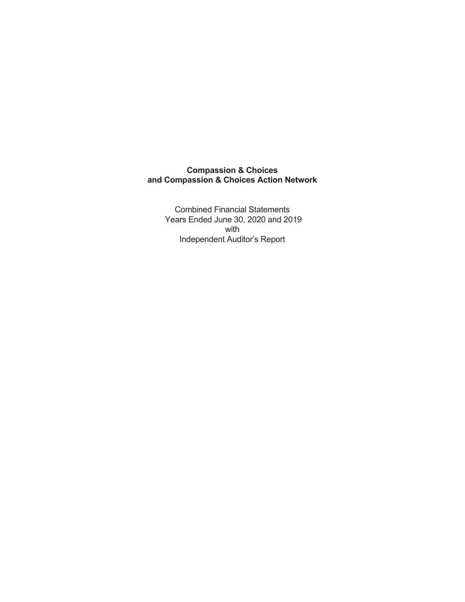Combined Financial Statements Years Ended June 30, 2020 and 2019 with Independent Auditor's Report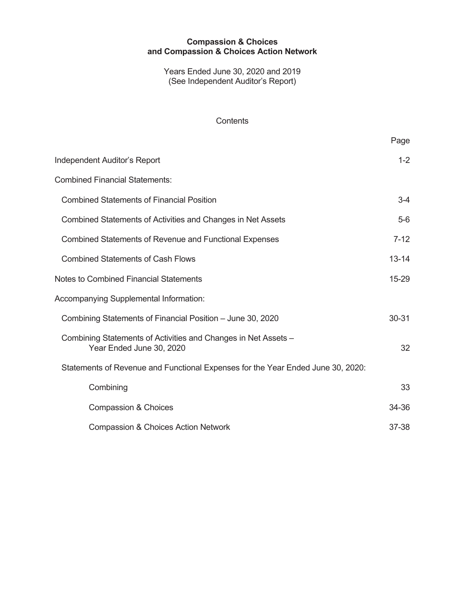Years Ended June 30, 2020 and 2019 (See Independent Auditor's Report)

### **Contents**

|                                                                                            | Page      |
|--------------------------------------------------------------------------------------------|-----------|
| <b>Independent Auditor's Report</b>                                                        | $1 - 2$   |
| <b>Combined Financial Statements:</b>                                                      |           |
| <b>Combined Statements of Financial Position</b>                                           | $3-4$     |
| Combined Statements of Activities and Changes in Net Assets                                | $5-6$     |
| <b>Combined Statements of Revenue and Functional Expenses</b>                              | $7 - 12$  |
| <b>Combined Statements of Cash Flows</b>                                                   | $13 - 14$ |
| <b>Notes to Combined Financial Statements</b>                                              | 15-29     |
| Accompanying Supplemental Information:                                                     |           |
| Combining Statements of Financial Position – June 30, 2020                                 | 30-31     |
| Combining Statements of Activities and Changes in Net Assets -<br>Year Ended June 30, 2020 | 32        |
| Statements of Revenue and Functional Expenses for the Year Ended June 30, 2020:            |           |
| Combining                                                                                  | 33        |
| <b>Compassion &amp; Choices</b>                                                            | 34-36     |
| <b>Compassion &amp; Choices Action Network</b>                                             | 37-38     |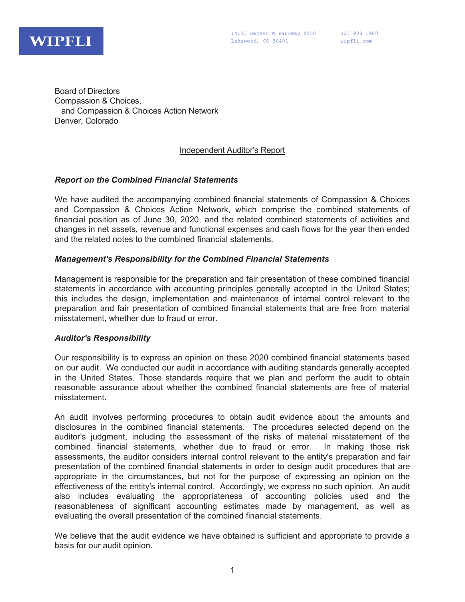

Board of Directors Compassion & Choices, and Compassion & Choices Action Network Denver, Colorado

### Independent Auditor's Report

#### *Report on the Combined Financial Statements*

We have audited the accompanying combined financial statements of Compassion & Choices and Compassion & Choices Action Network, which comprise the combined statements of financial position as of June 30, 2020, and the related combined statements of activities and changes in net assets, revenue and functional expenses and cash flows for the year then ended and the related notes to the combined financial statements.

#### *Management's Responsibility for the Combined Financial Statements*

Management is responsible for the preparation and fair presentation of these combined financial statements in accordance with accounting principles generally accepted in the United States; this includes the design, implementation and maintenance of internal control relevant to the preparation and fair presentation of combined financial statements that are free from material misstatement, whether due to fraud or error.

#### *Auditor's Responsibility*

Our responsibility is to express an opinion on these 2020 combined financial statements based on our audit. We conducted our audit in accordance with auditing standards generally accepted in the United States. Those standards require that we plan and perform the audit to obtain reasonable assurance about whether the combined financial statements are free of material misstatement.

An audit involves performing procedures to obtain audit evidence about the amounts and disclosures in the combined financial statements. The procedures selected depend on the auditor's judgment, including the assessment of the risks of material misstatement of the combined financial statements, whether due to fraud or error. In making those risk assessments, the auditor considers internal control relevant to the entity's preparation and fair presentation of the combined financial statements in order to design audit procedures that are appropriate in the circumstances, but not for the purpose of expressing an opinion on the effectiveness of the entity's internal control. Accordingly, we express no such opinion. An audit also includes evaluating the appropriateness of accounting policies used and the reasonableness of significant accounting estimates made by management, as well as evaluating the overall presentation of the combined financial statements.

We believe that the audit evidence we have obtained is sufficient and appropriate to provide a basis for our audit opinion.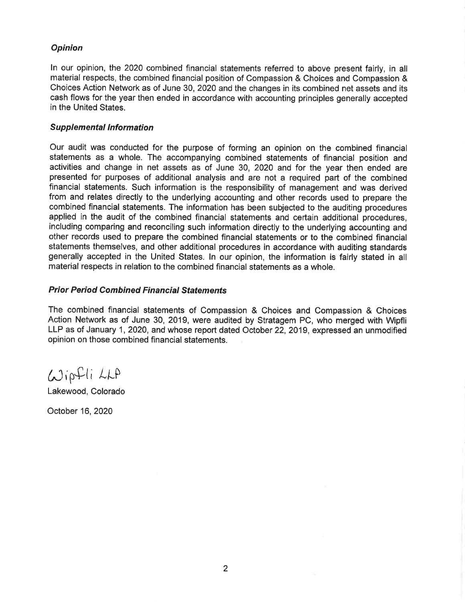### **Opinion**

In our opinion, the 2020 combined financial statements referred to above present fairly, in all material respects, the combined financial position of Compassion & Choices and Compassion & Choices Action Network as of June 30, 2020 and the changes in its combined net assets and its cash flows for the year then ended in accordance with accounting principles generally accepted in the United States.

#### **Supplemental Information**

Our audit was conducted for the purpose of forming an opinion on the combined financial statements as a whole. The accompanying combined statements of financial position and activities and change in net assets as of June 30, 2020 and for the year then ended are presented for purposes of additional analysis and are not a required part of the combined financial statements. Such information is the responsibility of management and was derived from and relates directly to the underlying accounting and other records used to prepare the combined financial statements. The information has been subjected to the auditing procedures applied in the audit of the combined financial statements and certain additional procedures, including comparing and reconciling such information directly to the underlying accounting and other records used to prepare the combined financial statements or to the combined financial statements themselves, and other additional procedures in accordance with auditing standards generally accepted in the United States. In our opinion, the information is fairly stated in all material respects in relation to the combined financial statements as a whole.

#### **Prior Period Combined Financial Statements**

The combined financial statements of Compassion & Choices and Compassion & Choices Action Network as of June 30, 2019, were audited by Stratagem PC, who merged with Wipfli LLP as of January 1, 2020, and whose report dated October 22, 2019, expressed an unmodified opinion on those combined financial statements.

Wipfli LLA

Lakewood, Colorado

October 16, 2020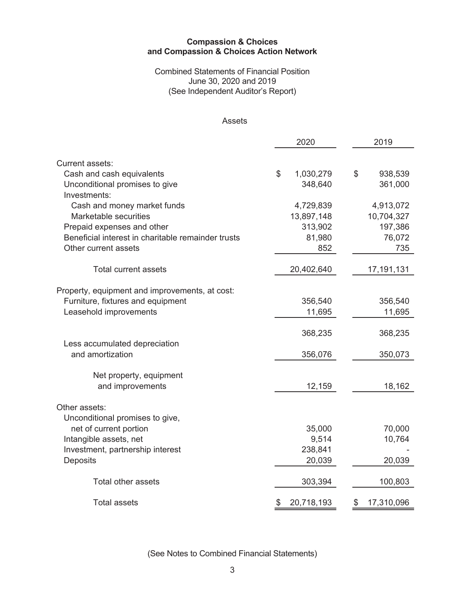### Combined Statements of Financial Position June 30, 2020 and 2019 (See Independent Auditor's Report)

#### Assets

|                                                    | 2020             | 2019             |
|----------------------------------------------------|------------------|------------------|
|                                                    |                  |                  |
| Current assets:                                    |                  |                  |
| Cash and cash equivalents                          | \$<br>1,030,279  | \$<br>938,539    |
| Unconditional promises to give<br>Investments:     | 348,640          | 361,000          |
| Cash and money market funds                        | 4,729,839        | 4,913,072        |
| Marketable securities                              | 13,897,148       | 10,704,327       |
| Prepaid expenses and other                         | 313,902          | 197,386          |
| Beneficial interest in charitable remainder trusts | 81,980           | 76,072           |
| Other current assets                               | 852              | 735              |
|                                                    |                  |                  |
| <b>Total current assets</b>                        | 20,402,640       | 17,191,131       |
|                                                    |                  |                  |
| Property, equipment and improvements, at cost:     |                  |                  |
| Furniture, fixtures and equipment                  | 356,540          | 356,540          |
| Leasehold improvements                             | 11,695           | 11,695           |
|                                                    | 368,235          | 368,235          |
| Less accumulated depreciation                      |                  |                  |
| and amortization                                   | 356,076          | 350,073          |
|                                                    |                  |                  |
| Net property, equipment                            |                  |                  |
| and improvements                                   | 12,159           | 18,162           |
| Other assets:                                      |                  |                  |
| Unconditional promises to give,                    |                  |                  |
| net of current portion                             | 35,000           | 70,000           |
| Intangible assets, net                             | 9,514            | 10,764           |
| Investment, partnership interest                   | 238,841          |                  |
| Deposits                                           | 20,039           | 20,039           |
|                                                    |                  |                  |
| <b>Total other assets</b>                          | 303,394          | 100,803          |
| <b>Total assets</b>                                | \$<br>20,718,193 | 17,310,096<br>\$ |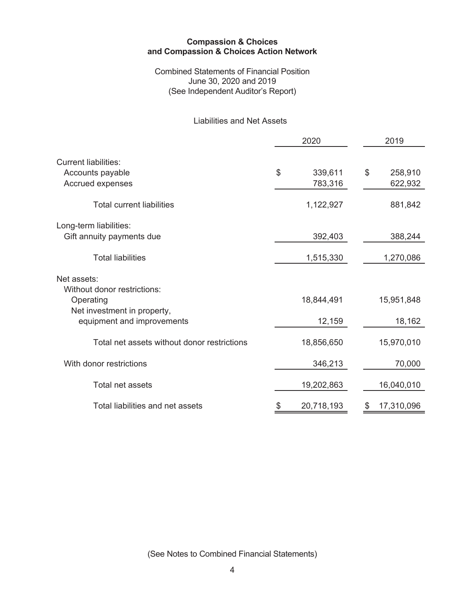Combined Statements of Financial Position June 30, 2020 and 2019 (See Independent Auditor's Report)

# Liabilities and Net Assets

|                                                                                                                      | 2020 |                      |    | 2019                 |  |  |
|----------------------------------------------------------------------------------------------------------------------|------|----------------------|----|----------------------|--|--|
| <b>Current liabilities:</b><br>Accounts payable<br>Accrued expenses                                                  | \$   | 339,611<br>783,316   | \$ | 258,910<br>622,932   |  |  |
| <b>Total current liabilities</b>                                                                                     |      | 1,122,927            |    | 881,842              |  |  |
| Long-term liabilities:<br>Gift annuity payments due                                                                  |      | 392,403              |    | 388,244              |  |  |
| <b>Total liabilities</b>                                                                                             |      | 1,515,330            |    | 1,270,086            |  |  |
| Net assets:<br>Without donor restrictions:<br>Operating<br>Net investment in property,<br>equipment and improvements |      | 18,844,491<br>12,159 |    | 15,951,848<br>18,162 |  |  |
| Total net assets without donor restrictions                                                                          |      | 18,856,650           |    | 15,970,010           |  |  |
| With donor restrictions                                                                                              |      | 346,213              |    | 70,000               |  |  |
| Total net assets                                                                                                     |      | 19,202,863           |    | 16,040,010           |  |  |
| Total liabilities and net assets                                                                                     | \$   | 20,718,193           | S  | 17,310,096           |  |  |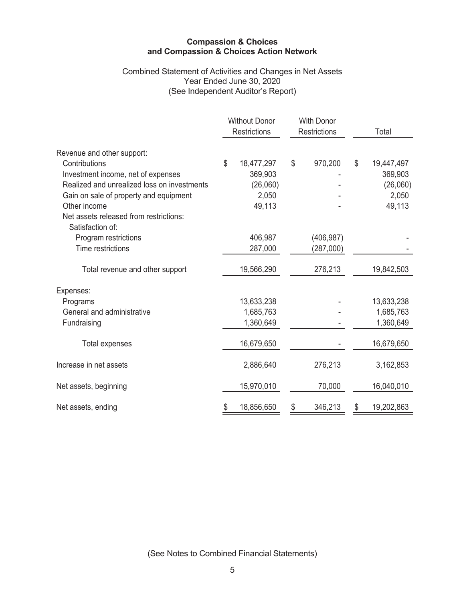### Combined Statement of Activities and Changes in Net Assets Year Ended June 30, 2020 (See Independent Auditor's Report)

|                                             | <b>Without Donor</b><br><b>Restrictions</b> |            |               | <b>With Donor</b><br><b>Restrictions</b> |    | Total      |
|---------------------------------------------|---------------------------------------------|------------|---------------|------------------------------------------|----|------------|
| Revenue and other support:                  |                                             |            |               |                                          |    |            |
| Contributions                               | \$                                          | 18,477,297 | \$            | 970,200                                  | \$ | 19,447,497 |
| Investment income, net of expenses          |                                             | 369,903    |               |                                          |    | 369,903    |
| Realized and unrealized loss on investments |                                             | (26,060)   |               |                                          |    | (26,060)   |
| Gain on sale of property and equipment      |                                             | 2,050      |               |                                          |    | 2,050      |
| Other income                                |                                             | 49,113     |               |                                          |    | 49,113     |
| Net assets released from restrictions:      |                                             |            |               |                                          |    |            |
| Satisfaction of:                            |                                             |            |               |                                          |    |            |
| Program restrictions                        |                                             | 406,987    |               | (406, 987)                               |    |            |
| Time restrictions                           |                                             | 287,000    |               | (287,000)                                |    |            |
| Total revenue and other support             |                                             | 19,566,290 |               | 276,213                                  |    | 19,842,503 |
|                                             |                                             |            |               |                                          |    |            |
| Expenses:                                   |                                             |            |               |                                          |    |            |
| Programs                                    |                                             | 13,633,238 |               |                                          |    | 13,633,238 |
| General and administrative                  |                                             | 1,685,763  |               |                                          |    | 1,685,763  |
| Fundraising                                 |                                             | 1,360,649  |               |                                          |    | 1,360,649  |
|                                             |                                             |            |               |                                          |    | 16,679,650 |
| <b>Total expenses</b>                       |                                             | 16,679,650 |               |                                          |    |            |
| Increase in net assets                      |                                             | 2,886,640  |               | 276,213                                  |    | 3,162,853  |
| Net assets, beginning                       |                                             | 15,970,010 |               | 70,000                                   |    | 16,040,010 |
| Net assets, ending                          |                                             | 18,856,650 | 346,213<br>\$ |                                          | S  | 19,202,863 |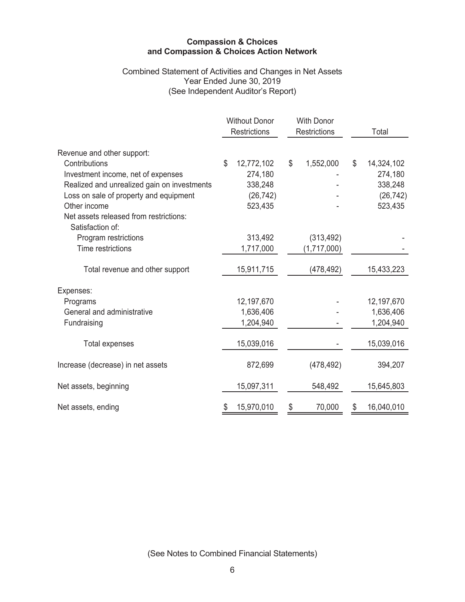### Combined Statement of Activities and Changes in Net Assets Year Ended June 30, 2019 (See Independent Auditor's Report)

|                                             | <b>Without Donor</b><br><b>Restrictions</b> |            | <b>With Donor</b><br><b>Restrictions</b> |             | Total            |
|---------------------------------------------|---------------------------------------------|------------|------------------------------------------|-------------|------------------|
| Revenue and other support:                  |                                             |            |                                          |             |                  |
| Contributions                               | \$                                          | 12,772,102 | \$                                       | 1,552,000   | \$<br>14,324,102 |
| Investment income, net of expenses          |                                             | 274,180    |                                          |             | 274,180          |
| Realized and unrealized gain on investments |                                             | 338,248    |                                          |             | 338,248          |
| Loss on sale of property and equipment      |                                             | (26, 742)  |                                          |             | (26, 742)        |
| Other income                                |                                             | 523,435    |                                          |             | 523,435          |
| Net assets released from restrictions:      |                                             |            |                                          |             |                  |
| Satisfaction of:                            |                                             |            |                                          |             |                  |
| Program restrictions                        |                                             | 313,492    |                                          | (313, 492)  |                  |
| Time restrictions                           |                                             | 1,717,000  |                                          | (1,717,000) |                  |
| Total revenue and other support             |                                             | 15,911,715 |                                          | (478, 492)  | 15,433,223       |
|                                             |                                             |            |                                          |             |                  |
| Expenses:                                   |                                             |            |                                          |             |                  |
| Programs                                    |                                             | 12,197,670 |                                          |             | 12,197,670       |
| General and administrative                  |                                             | 1,636,406  |                                          |             | 1,636,406        |
| Fundraising                                 |                                             | 1,204,940  |                                          |             | 1,204,940        |
| <b>Total expenses</b>                       |                                             | 15,039,016 |                                          |             | 15,039,016       |
|                                             |                                             |            |                                          |             |                  |
| Increase (decrease) in net assets           |                                             | 872,699    |                                          | (478, 492)  | 394,207          |
| Net assets, beginning                       |                                             | 15,097,311 |                                          | 548,492     | 15,645,803       |
| Net assets, ending                          |                                             | 15,970,010 | \$                                       | 70,000      | 16,040,010       |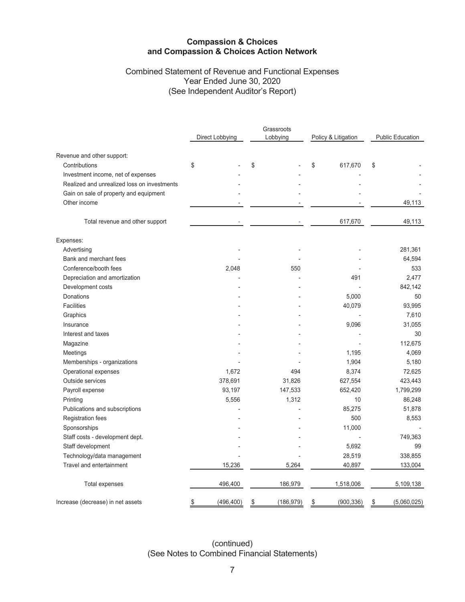## Combined Statement of Revenue and Functional Expenses Year Ended June 30, 2020 (See Independent Auditor's Report)

|                                             |                  | Grassroots       |                     |                         |  |
|---------------------------------------------|------------------|------------------|---------------------|-------------------------|--|
|                                             | Direct Lobbying  | Lobbying         | Policy & Litigation | <b>Public Education</b> |  |
| Revenue and other support:                  |                  |                  |                     |                         |  |
| Contributions                               | \$               | \$               | \$<br>617,670       | \$                      |  |
| Investment income, net of expenses          |                  |                  |                     |                         |  |
| Realized and unrealized loss on investments |                  |                  |                     |                         |  |
| Gain on sale of property and equipment      |                  |                  |                     |                         |  |
| Other income                                |                  |                  |                     | 49,113                  |  |
| Total revenue and other support             |                  |                  | 617,670             | 49,113                  |  |
| Expenses:                                   |                  |                  |                     |                         |  |
| Advertising                                 |                  |                  |                     | 281,361                 |  |
| Bank and merchant fees                      |                  |                  |                     | 64,594                  |  |
| Conference/booth fees                       | 2,048            | 550              |                     | 533                     |  |
| Depreciation and amortization               |                  |                  | 491                 | 2,477                   |  |
| Development costs                           |                  |                  |                     | 842,142                 |  |
| Donations                                   |                  |                  | 5,000               | 50                      |  |
| <b>Facilities</b>                           |                  |                  | 40,079              | 93,995                  |  |
| Graphics                                    |                  |                  |                     | 7,610                   |  |
| Insurance                                   |                  |                  | 9,096               | 31,055                  |  |
| Interest and taxes                          |                  |                  |                     | 30                      |  |
| Magazine                                    |                  |                  |                     | 112.675                 |  |
| Meetings                                    |                  |                  | 1,195               | 4,069                   |  |
| Memberships - organizations                 |                  |                  | 1,904               | 5,180                   |  |
| Operational expenses                        | 1,672            | 494              | 8,374               | 72,625                  |  |
| Outside services                            | 378,691          | 31,826           | 627,554             | 423,443                 |  |
| Payroll expense                             | 93,197           | 147,533          | 652,420             | 1,799,299               |  |
| Printing                                    | 5,556            | 1,312            | 10                  | 86,248                  |  |
| Publications and subscriptions              |                  |                  | 85,275              | 51,878                  |  |
| Registration fees                           |                  |                  | 500                 | 8,553                   |  |
| Sponsorships                                |                  |                  | 11,000              |                         |  |
| Staff costs - development dept.             |                  |                  |                     | 749,363                 |  |
| Staff development                           |                  |                  | 5,692               | 99                      |  |
| Technology/data management                  |                  |                  | 28,519              | 338,855                 |  |
| Travel and entertainment                    | 15,236           | 5,264            | 40,897              | 133,004                 |  |
| Total expenses                              | 496,400          | 186,979          | 1,518,006           | 5,109,138               |  |
| Increase (decrease) in net assets           | \$<br>(496, 400) | \$<br>(186, 979) | \$<br>(900, 336)    | \$<br>(5,060,025)       |  |

(continued) (See Notes to Combined Financial Statements)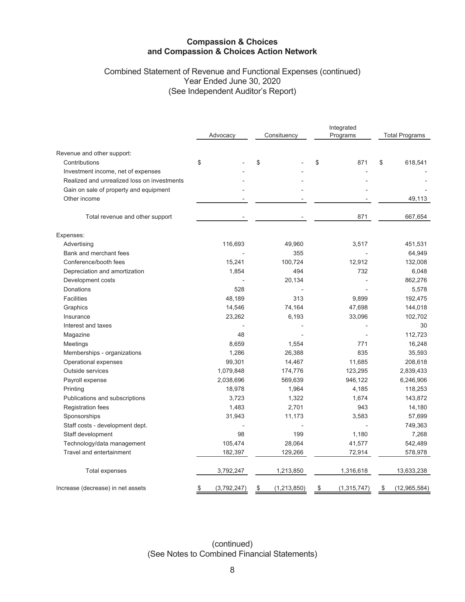## Combined Statement of Revenue and Functional Expenses (continued) Year Ended June 30, 2020 (See Independent Auditor's Report)

|                                             | Advocacy          | Consituency         | Integrated<br>Programs | <b>Total Programs</b> |  |
|---------------------------------------------|-------------------|---------------------|------------------------|-----------------------|--|
| Revenue and other support:                  |                   |                     |                        |                       |  |
| Contributions                               | \$                | \$                  | \$<br>871              | \$<br>618,541         |  |
| Investment income, net of expenses          |                   |                     |                        |                       |  |
| Realized and unrealized loss on investments |                   |                     |                        |                       |  |
| Gain on sale of property and equipment      |                   |                     |                        |                       |  |
| Other income                                |                   |                     |                        | 49,113                |  |
| Total revenue and other support             |                   |                     | 871                    | 667,654               |  |
| Expenses:                                   |                   |                     |                        |                       |  |
| Advertising                                 | 116,693           | 49,960              | 3,517                  | 451,531               |  |
| Bank and merchant fees                      |                   | 355                 |                        | 64,949                |  |
| Conference/booth fees                       | 15,241            | 100,724             | 12,912                 | 132,008               |  |
| Depreciation and amortization               | 1,854             | 494                 | 732                    | 6,048                 |  |
| Development costs                           |                   | 20,134              |                        | 862,276               |  |
| Donations                                   | 528               |                     |                        | 5,578                 |  |
| <b>Facilities</b>                           | 48,189            | 313                 | 9,899                  | 192,475               |  |
| Graphics                                    | 14,546            | 74,164              | 47,698                 | 144,018               |  |
| Insurance                                   | 23,262            | 6,193               | 33,096                 | 102,702               |  |
| Interest and taxes                          |                   |                     |                        | 30                    |  |
| Magazine                                    | 48                |                     |                        | 112,723               |  |
| Meetings                                    | 8,659             | 1,554               | 771                    | 16,248                |  |
| Memberships - organizations                 | 1,286             | 26,388              | 835                    | 35,593                |  |
| Operational expenses                        | 99,301            | 14,467              | 11,685                 | 208,618               |  |
| Outside services                            | 1,079,848         | 174,776             | 123,295                | 2,839,433             |  |
| Payroll expense                             | 2,038,696         | 569,639             | 946,122                | 6,246,906             |  |
| Printing                                    | 18,978            | 1,964               | 4,185                  | 118,253               |  |
| Publications and subscriptions              | 3,723             | 1,322               | 1,674                  | 143,872               |  |
| <b>Registration fees</b>                    | 1,483             | 2,701               | 943                    | 14,180                |  |
| Sponsorships                                | 31,943            | 11,173              | 3,583                  | 57,699                |  |
| Staff costs - development dept.             |                   |                     |                        | 749,363               |  |
| Staff development                           | 98                | 199                 | 1,180                  | 7,268                 |  |
| Technology/data management                  | 105,474           | 28,064              | 41,577                 | 542,489               |  |
| Travel and entertainment                    | 182,397           | 129,266             | 72,914                 | 578,978               |  |
| <b>Total expenses</b>                       | 3,792,247         | 1,213,850           | 1,316,618              | 13,633,238            |  |
| Increase (decrease) in net assets           | (3,792,247)<br>\$ | \$<br>(1, 213, 850) | \$<br>(1, 315, 747)    | (12,965,584)<br>\$    |  |

(continued) (See Notes to Combined Financial Statements)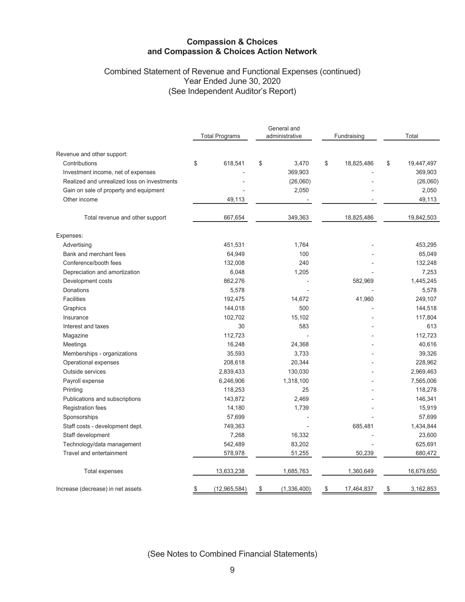## Combined Statement of Revenue and Functional Expenses (continued) Year Ended June 30, 2020 (See Independent Auditor's Report)

|                                             |                       | General and       |                  |                  |  |
|---------------------------------------------|-----------------------|-------------------|------------------|------------------|--|
|                                             | <b>Total Programs</b> | administrative    | Fundraising      | Total            |  |
| Revenue and other support:                  |                       |                   |                  |                  |  |
| Contributions                               | \$<br>618,541         | \$<br>3,470       | \$<br>18,825,486 | \$<br>19,447,497 |  |
| Investment income, net of expenses          |                       | 369,903           |                  | 369,903          |  |
| Realized and unrealized loss on investments |                       | (26,060)          |                  | (26,060)         |  |
| Gain on sale of property and equipment      |                       | 2,050             |                  | 2,050            |  |
| Other income                                | 49,113                |                   |                  | 49,113           |  |
|                                             |                       |                   |                  |                  |  |
| Total revenue and other support             | 667,654               | 349,363           | 18,825,486       | 19,842,503       |  |
| Expenses:                                   |                       |                   |                  |                  |  |
| Advertising                                 | 451,531               | 1,764             |                  | 453,295          |  |
| Bank and merchant fees                      | 64,949                | 100               |                  | 65,049           |  |
| Conference/booth fees                       | 132,008               | 240               |                  | 132,248          |  |
| Depreciation and amortization               | 6,048                 | 1,205             |                  | 7,253            |  |
| Development costs                           | 862,276               |                   | 582,969          | 1,445,245        |  |
| Donations                                   | 5,578                 |                   |                  | 5,578            |  |
| <b>Facilities</b>                           | 192,475               | 14,672            | 41,960           | 249,107          |  |
| Graphics                                    | 144,018               | 500               |                  | 144,518          |  |
| Insurance                                   | 102,702               | 15,102            |                  | 117,804          |  |
| Interest and taxes                          | 30                    | 583               |                  | 613              |  |
| Magazine                                    | 112,723               |                   |                  | 112,723          |  |
| Meetings                                    | 16,248                | 24,368            |                  | 40,616           |  |
| Memberships - organizations                 | 35,593                | 3,733             |                  | 39,326           |  |
| Operational expenses                        | 208,618               | 20,344            |                  | 228,962          |  |
| Outside services                            | 2,839,433             | 130,030           |                  | 2,969,463        |  |
| Payroll expense                             | 6,246,906             | 1,318,100         |                  | 7,565,006        |  |
| Printing                                    | 118,253               | 25                |                  | 118,278          |  |
| Publications and subscriptions              | 143,872               | 2,469             |                  | 146,341          |  |
| <b>Registration fees</b>                    | 14,180                | 1,739             |                  | 15,919           |  |
| Sponsorships                                | 57,699                |                   |                  | 57,699           |  |
| Staff costs - development dept.             | 749,363               |                   | 685,481          | 1,434,844        |  |
| Staff development                           | 7,268                 | 16,332            |                  | 23,600           |  |
| Technology/data management                  | 542,489               | 83,202            |                  | 625,691          |  |
| Travel and entertainment                    | 578,978               | 51,255            | 50,239           | 680,472          |  |
| Total expenses                              | 13,633,238            | 1,685,763         | 1,360,649        | 16,679,650       |  |
| Increase (decrease) in net assets           | \$<br>(12, 965, 584)  | (1,336,400)<br>\$ | \$<br>17,464,837 | 3,162,853<br>\$  |  |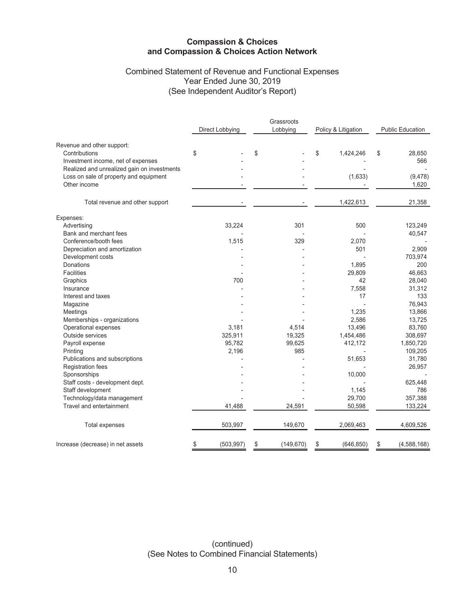### Combined Statement of Revenue and Functional Expenses Year Ended June 30, 2019 (See Independent Auditor's Report)

|                                             |                  | Grassroots       |                     |                         |  |  |
|---------------------------------------------|------------------|------------------|---------------------|-------------------------|--|--|
|                                             | Direct Lobbying  | Lobbying         | Policy & Litigation | <b>Public Education</b> |  |  |
| Revenue and other support:                  |                  |                  |                     |                         |  |  |
| Contributions                               | \$               | \$               | \$<br>1,424,246     | \$<br>28,650            |  |  |
| Investment income, net of expenses          |                  |                  |                     | 566                     |  |  |
| Realized and unrealized gain on investments |                  |                  |                     |                         |  |  |
| Loss on sale of property and equipment      |                  |                  | (1,633)             | (9, 478)                |  |  |
| Other income                                |                  |                  |                     | 1,620                   |  |  |
| Total revenue and other support             |                  |                  | 1,422,613           | 21,358                  |  |  |
|                                             |                  |                  |                     |                         |  |  |
| Expenses:                                   |                  |                  |                     |                         |  |  |
| Advertising                                 | 33,224           | 301              | 500                 | 123,249                 |  |  |
| Bank and merchant fees                      |                  |                  |                     | 40,547                  |  |  |
| Conference/booth fees                       | 1,515            | 329              | 2,070               |                         |  |  |
| Depreciation and amortization               |                  |                  | 501                 | 2,909                   |  |  |
| Development costs                           |                  |                  |                     | 703,974                 |  |  |
| Donations                                   |                  |                  | 1,895               | 200                     |  |  |
| <b>Facilities</b>                           |                  |                  | 29,809              | 46,663                  |  |  |
| Graphics                                    | 700              |                  | 42                  | 28,040                  |  |  |
| Insurance                                   |                  |                  | 7,558               | 31,312                  |  |  |
| Interest and taxes                          |                  |                  | 17                  | 133                     |  |  |
| Magazine                                    |                  |                  |                     | 76,943                  |  |  |
| Meetings                                    |                  |                  | 1,235               | 13,866                  |  |  |
| Memberships - organizations                 |                  |                  | 2,586               | 13,725                  |  |  |
| Operational expenses                        | 3,181            | 4,514            | 13,496              | 83,760                  |  |  |
| Outside services                            | 325,911          | 19,325           | 1,454,486           | 308,697                 |  |  |
| Payroll expense                             | 95,782           | 99,625           | 412,172             | 1,850,720               |  |  |
| Printing                                    | 2,196            | 985              |                     | 109,205                 |  |  |
| Publications and subscriptions              |                  |                  | 51,653              | 31,780                  |  |  |
| Registration fees                           |                  |                  |                     | 26,957                  |  |  |
| Sponsorships                                |                  |                  | 10,000              |                         |  |  |
| Staff costs - development dept.             |                  |                  |                     | 625,448                 |  |  |
| Staff development                           |                  |                  | 1,145               | 786                     |  |  |
| Technology/data management                  |                  |                  | 29,700              | 357,388                 |  |  |
| Travel and entertainment                    | 41,488           | 24,591           | 50,598              | 133,224                 |  |  |
| Total expenses                              | 503,997          | 149,670          | 2,069,463           | 4,609,526               |  |  |
| Increase (decrease) in net assets           | \$<br>(503, 997) | \$<br>(149, 670) | (646, 850)<br>\$    | (4, 588, 168)<br>\$     |  |  |

(continued) (See Notes to Combined Financial Statements)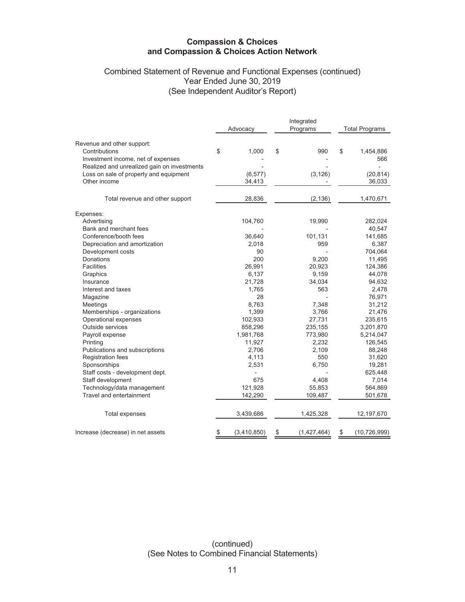## Combined Statement of Revenue and Functional Expenses (continued) Year Ended June 30, 2019 (See Independent Auditor's Report)

|                                             | Advocacy          | Integrated<br>Programs | <b>Total Programs</b> |                |  |
|---------------------------------------------|-------------------|------------------------|-----------------------|----------------|--|
| Revenue and other support:                  |                   |                        |                       |                |  |
| Contributions                               | \$<br>1,000       | \$<br>990              | \$                    | 1,454,886      |  |
| Investment income, net of expenses          |                   |                        |                       | 566            |  |
| Realized and unrealized gain on investments |                   |                        |                       |                |  |
| Loss on sale of property and equipment      | (6, 577)          | (3, 126)               |                       | (20, 814)      |  |
| Other income                                | 34,413            |                        |                       | 36,033         |  |
| Total revenue and other support             | 28,836            | (2, 136)               |                       | 1,470,671      |  |
| Expenses:                                   |                   |                        |                       |                |  |
| Advertising                                 | 104,760           | 19,990                 |                       | 282,024        |  |
| Bank and merchant fees                      |                   |                        |                       | 40,547         |  |
| Conference/booth fees                       | 36,640            | 101,131                |                       | 141,685        |  |
| Depreciation and amortization               | 2,018             | 959                    |                       | 6,387          |  |
| Development costs                           | 90                |                        |                       | 704,064        |  |
| Donations                                   | 200               | 9,200                  |                       | 11,495         |  |
| <b>Facilities</b>                           | 26,991            | 20,923                 |                       | 124,386        |  |
| Graphics                                    | 6,137             | 9,159                  |                       | 44,078         |  |
| Insurance                                   | 21,728            | 34,034                 |                       | 94,632         |  |
| Interest and taxes                          | 1,765             | 563                    |                       | 2,478          |  |
| Magazine                                    | 28                |                        |                       | 76,971         |  |
| Meetings                                    | 8,763             | 7,348                  |                       | 31,212         |  |
| Memberships - organizations                 | 1,399             | 3,766                  |                       | 21,476         |  |
| Operational expenses                        | 102,933           | 27,731                 |                       | 235,615        |  |
| Outside services                            | 858,296           | 235,155                |                       | 3,201,870      |  |
| Payroll expense                             | 1,981,768         | 773,980                |                       | 5,214,047      |  |
| Printing                                    | 11,927            | 2,232                  |                       | 126,545        |  |
| Publications and subscriptions              | 2,706             | 2,109                  |                       | 88,248         |  |
| <b>Registration fees</b>                    | 4,113             | 550                    |                       | 31,620         |  |
| Sponsorships                                | 2,531             | 6,750                  |                       | 19,281         |  |
| Staff costs - development dept.             |                   |                        |                       | 625,448        |  |
| Staff development                           | 675               | 4,408                  |                       | 7,014          |  |
| Technology/data management                  | 121,928           | 55,853                 |                       | 564,869        |  |
| Travel and entertainment                    | 142,290           | 109,487                |                       | 501,678        |  |
| Total expenses                              | 3,439,686         | 1,425,328              |                       | 12,197,670     |  |
| Increase (decrease) in net assets           | \$<br>(3,410,850) | \$<br>(1,427,464)      | \$                    | (10, 726, 999) |  |

(continued) (See Notes to Combined Financial Statements)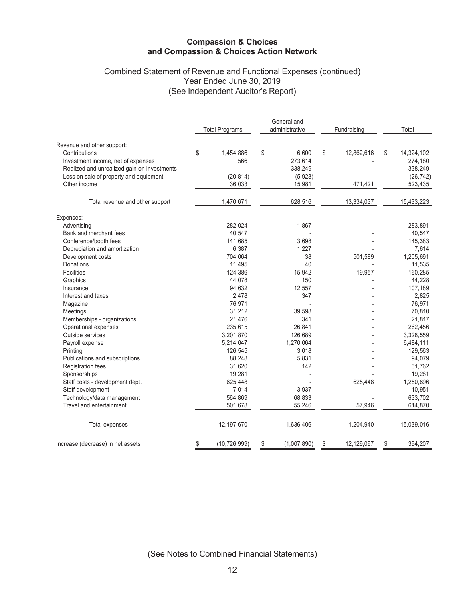## Combined Statement of Revenue and Functional Expenses (continued) Year Ended June 30, 2019 (See Independent Auditor's Report)

|                                             |                       | General and       |    |             |                  |  |
|---------------------------------------------|-----------------------|-------------------|----|-------------|------------------|--|
|                                             | <b>Total Programs</b> | administrative    |    | Fundraising | Total            |  |
| Revenue and other support:                  |                       |                   |    |             |                  |  |
| Contributions                               | \$<br>1,454,886       | \$<br>6,600       | \$ | 12,862,616  | \$<br>14,324,102 |  |
| Investment income, net of expenses          | 566                   | 273,614           |    |             | 274,180          |  |
| Realized and unrealized gain on investments |                       | 338,249           |    |             | 338,249          |  |
| Loss on sale of property and equipment      | (20, 814)             | (5,928)           |    |             | (26, 742)        |  |
| Other income                                | 36,033                | 15,981            |    | 471,421     | 523,435          |  |
| Total revenue and other support             | 1,470,671             | 628,516           |    | 13,334,037  | 15,433,223       |  |
|                                             |                       |                   |    |             |                  |  |
| Expenses:                                   |                       |                   |    |             |                  |  |
| Advertising                                 | 282,024               | 1,867             |    |             | 283,891          |  |
| Bank and merchant fees                      | 40,547                |                   |    |             | 40,547           |  |
| Conference/booth fees                       | 141,685               | 3,698             |    |             | 145,383          |  |
| Depreciation and amortization               | 6,387                 | 1,227             |    |             | 7,614            |  |
| Development costs                           | 704,064               | 38                |    | 501,589     | 1,205,691        |  |
| Donations                                   | 11,495                | 40                |    |             | 11,535           |  |
| Facilities                                  | 124,386               | 15,942            |    | 19,957      | 160,285          |  |
| Graphics                                    | 44,078                | 150               |    |             | 44,228           |  |
| Insurance                                   | 94,632                | 12,557            |    |             | 107,189          |  |
| Interest and taxes                          | 2,478                 | 347               |    |             | 2,825            |  |
| Magazine                                    | 76,971                |                   |    |             | 76,971           |  |
| Meetings                                    | 31,212                | 39,598            |    |             | 70,810           |  |
| Memberships - organizations                 | 21,476                | 341               |    |             | 21,817           |  |
| Operational expenses                        | 235,615               | 26,841            |    |             | 262,456          |  |
| Outside services                            | 3,201,870             | 126,689           |    |             | 3,328,559        |  |
| Payroll expense                             | 5,214,047             | 1,270,064         |    |             | 6,484,111        |  |
| Printing                                    | 126,545               | 3,018             |    |             | 129,563          |  |
| Publications and subscriptions              | 88,248                | 5,831             |    |             | 94,079           |  |
| <b>Registration fees</b>                    | 31,620                | 142               |    |             | 31,762           |  |
| Sponsorships                                | 19,281                |                   |    |             | 19,281           |  |
| Staff costs - development dept.             | 625,448               |                   |    | 625,448     | 1,250,896        |  |
| Staff development                           | 7,014                 | 3,937             |    |             | 10,951           |  |
| Technology/data management                  | 564,869               | 68,833            |    |             | 633,702          |  |
| Travel and entertainment                    | 501,678               | 55,246            |    | 57,946      | 614,870          |  |
| Total expenses                              | 12,197,670            | 1,636,406         |    | 1,204,940   | 15,039,016       |  |
| Increase (decrease) in net assets           | \$<br>(10, 726, 999)  | \$<br>(1,007,890) | \$ | 12,129,097  | \$<br>394,207    |  |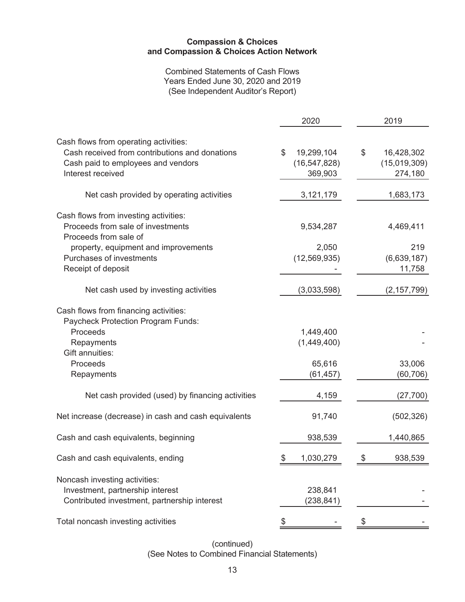Combined Statements of Cash Flows Years Ended June 30, 2020 and 2019 (See Independent Auditor's Report)

| 16,428,302    |
|---------------|
| (15,019,309)  |
| 274,180       |
|               |
| 1,683,173     |
|               |
| 4,469,411     |
|               |
| 219           |
| (6,639,187)   |
| 11,758        |
| (2, 157, 799) |
|               |
|               |
|               |
|               |
|               |
| 33,006        |
| (60, 706)     |
| (27, 700)     |
| (502, 326)    |
| 1,440,865     |
| 938,539       |
|               |
|               |
|               |
|               |
|               |

(continued) (See Notes to Combined Financial Statements)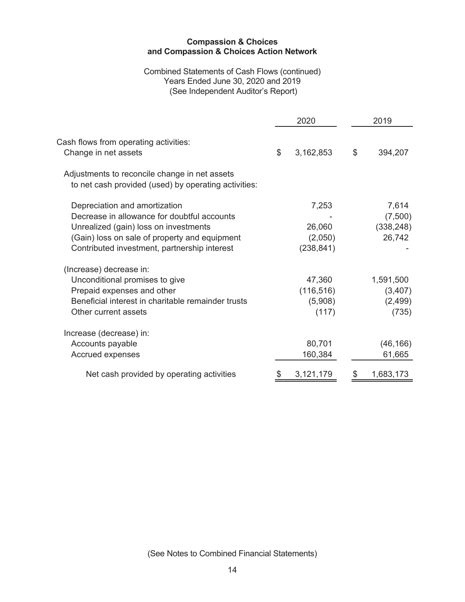### Combined Statements of Cash Flows (continued) Years Ended June 30, 2020 and 2019 (See Independent Auditor's Report)

|                                                                                                                                                                                                                        |                | 2020                                     |               | 2019                                       |
|------------------------------------------------------------------------------------------------------------------------------------------------------------------------------------------------------------------------|----------------|------------------------------------------|---------------|--------------------------------------------|
| Cash flows from operating activities:<br>Change in net assets                                                                                                                                                          | $\mathfrak{S}$ | 3,162,853                                | $\mathcal{L}$ | 394,207                                    |
| Adjustments to reconcile change in net assets<br>to net cash provided (used) by operating activities:                                                                                                                  |                |                                          |               |                                            |
| Depreciation and amortization<br>Decrease in allowance for doubtful accounts<br>Unrealized (gain) loss on investments<br>(Gain) loss on sale of property and equipment<br>Contributed investment, partnership interest |                | 7,253<br>26,060<br>(2,050)<br>(238, 841) |               | 7,614<br>(7,500)<br>(338, 248)<br>26,742   |
| (Increase) decrease in:<br>Unconditional promises to give<br>Prepaid expenses and other<br>Beneficial interest in charitable remainder trusts<br>Other current assets                                                  |                | 47,360<br>(116, 516)<br>(5,908)<br>(117) |               | 1,591,500<br>(3, 407)<br>(2, 499)<br>(735) |
| Increase (decrease) in:<br>Accounts payable<br>Accrued expenses                                                                                                                                                        |                | 80,701<br>160,384                        |               | (46, 166)<br>61,665                        |
| Net cash provided by operating activities                                                                                                                                                                              | \$             | 3,121,179                                | \$            | 1,683,173                                  |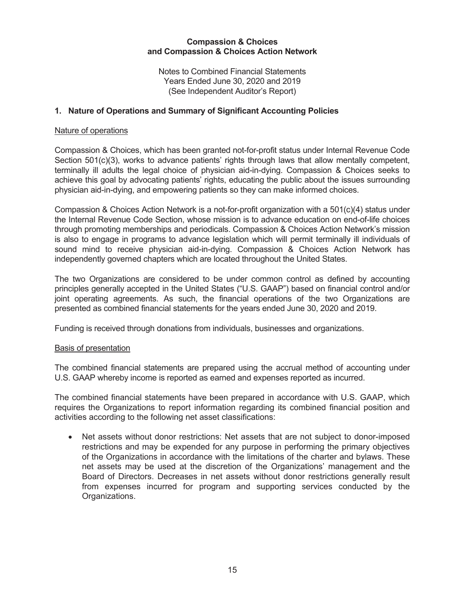Notes to Combined Financial Statements Years Ended June 30, 2020 and 2019 (See Independent Auditor's Report)

## **1. Nature of Operations and Summary of Significant Accounting Policies**

#### Nature of operations

Compassion & Choices, which has been granted not-for-profit status under Internal Revenue Code Section 501(c)(3), works to advance patients' rights through laws that allow mentally competent, terminally ill adults the legal choice of physician aid-in-dying. Compassion & Choices seeks to achieve this goal by advocating patients' rights, educating the public about the issues surrounding physician aid-in-dying, and empowering patients so they can make informed choices.

Compassion & Choices Action Network is a not-for-profit organization with a 501(c)(4) status under the Internal Revenue Code Section, whose mission is to advance education on end-of-life choices through promoting memberships and periodicals. Compassion & Choices Action Network's mission is also to engage in programs to advance legislation which will permit terminally ill individuals of sound mind to receive physician aid-in-dying. Compassion & Choices Action Network has independently governed chapters which are located throughout the United States.

The two Organizations are considered to be under common control as defined by accounting principles generally accepted in the United States ("U.S. GAAP") based on financial control and/or joint operating agreements. As such, the financial operations of the two Organizations are presented as combined financial statements for the years ended June 30, 2020 and 2019.

Funding is received through donations from individuals, businesses and organizations.

#### Basis of presentation

The combined financial statements are prepared using the accrual method of accounting under U.S. GAAP whereby income is reported as earned and expenses reported as incurred.

The combined financial statements have been prepared in accordance with U.S. GAAP, which requires the Organizations to report information regarding its combined financial position and activities according to the following net asset classifications:

• Net assets without donor restrictions: Net assets that are not subject to donor-imposed restrictions and may be expended for any purpose in performing the primary objectives of the Organizations in accordance with the limitations of the charter and bylaws. These net assets may be used at the discretion of the Organizations' management and the Board of Directors. Decreases in net assets without donor restrictions generally result from expenses incurred for program and supporting services conducted by the Organizations.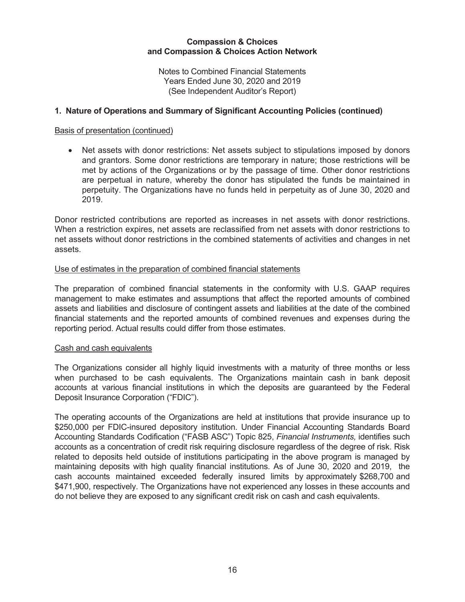Notes to Combined Financial Statements Years Ended June 30, 2020 and 2019 (See Independent Auditor's Report)

### **1. Nature of Operations and Summary of Significant Accounting Policies (continued)**

#### Basis of presentation (continued)

• Net assets with donor restrictions: Net assets subject to stipulations imposed by donors and grantors. Some donor restrictions are temporary in nature; those restrictions will be met by actions of the Organizations or by the passage of time. Other donor restrictions are perpetual in nature, whereby the donor has stipulated the funds be maintained in perpetuity. The Organizations have no funds held in perpetuity as of June 30, 2020 and 2019.

Donor restricted contributions are reported as increases in net assets with donor restrictions. When a restriction expires, net assets are reclassified from net assets with donor restrictions to net assets without donor restrictions in the combined statements of activities and changes in net assets.

#### Use of estimates in the preparation of combined financial statements

The preparation of combined financial statements in the conformity with U.S. GAAP requires management to make estimates and assumptions that affect the reported amounts of combined assets and liabilities and disclosure of contingent assets and liabilities at the date of the combined financial statements and the reported amounts of combined revenues and expenses during the reporting period. Actual results could differ from those estimates.

#### Cash and cash equivalents

The Organizations consider all highly liquid investments with a maturity of three months or less when purchased to be cash equivalents. The Organizations maintain cash in bank deposit accounts at various financial institutions in which the deposits are guaranteed by the Federal Deposit Insurance Corporation ("FDIC").

The operating accounts of the Organizations are held at institutions that provide insurance up to \$250,000 per FDIC-insured depository institution. Under Financial Accounting Standards Board Accounting Standards Codification ("FASB ASC") Topic 825, *Financial Instruments,* identifies such accounts as a concentration of credit risk requiring disclosure regardless of the degree of risk. Risk related to deposits held outside of institutions participating in the above program is managed by maintaining deposits with high quality financial institutions. As of June 30, 2020 and 2019, the cash accounts maintained exceeded federally insured limits by approximately \$268,700 and \$471,900, respectively. The Organizations have not experienced any losses in these accounts and do not believe they are exposed to any significant credit risk on cash and cash equivalents.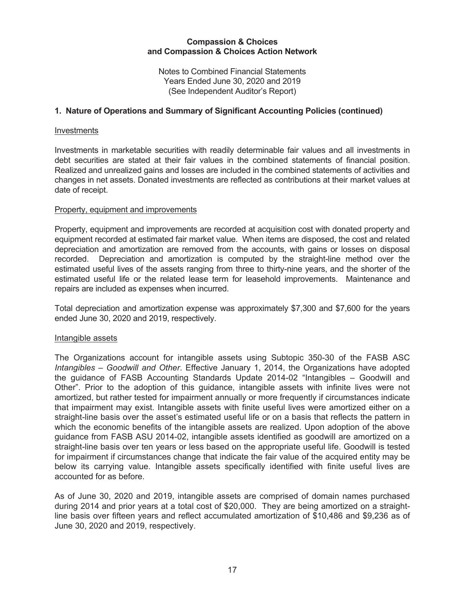Notes to Combined Financial Statements Years Ended June 30, 2020 and 2019 (See Independent Auditor's Report)

### **1. Nature of Operations and Summary of Significant Accounting Policies (continued)**

#### Investments

Investments in marketable securities with readily determinable fair values and all investments in debt securities are stated at their fair values in the combined statements of financial position. Realized and unrealized gains and losses are included in the combined statements of activities and changes in net assets. Donated investments are reflected as contributions at their market values at date of receipt.

#### Property, equipment and improvements

Property, equipment and improvements are recorded at acquisition cost with donated property and equipment recorded at estimated fair market value. When items are disposed, the cost and related depreciation and amortization are removed from the accounts, with gains or losses on disposal recorded. Depreciation and amortization is computed by the straight-line method over the estimated useful lives of the assets ranging from three to thirty-nine years, and the shorter of the estimated useful life or the related lease term for leasehold improvements. Maintenance and repairs are included as expenses when incurred.

Total depreciation and amortization expense was approximately \$7,300 and \$7,600 for the years ended June 30, 2020 and 2019, respectively.

### Intangible assets

The Organizations account for intangible assets using Subtopic 350-30 of the FASB ASC *Intangibles – Goodwill and Other*. Effective January 1, 2014, the Organizations have adopted the guidance of FASB Accounting Standards Update 2014-02 "Intangibles – Goodwill and Other". Prior to the adoption of this guidance, intangible assets with infinite lives were not amortized, but rather tested for impairment annually or more frequently if circumstances indicate that impairment may exist. Intangible assets with finite useful lives were amortized either on a straight-line basis over the asset's estimated useful life or on a basis that reflects the pattern in which the economic benefits of the intangible assets are realized. Upon adoption of the above guidance from FASB ASU 2014-02, intangible assets identified as goodwill are amortized on a straight-line basis over ten years or less based on the appropriate useful life. Goodwill is tested for impairment if circumstances change that indicate the fair value of the acquired entity may be below its carrying value. Intangible assets specifically identified with finite useful lives are accounted for as before.

As of June 30, 2020 and 2019, intangible assets are comprised of domain names purchased during 2014 and prior years at a total cost of \$20,000. They are being amortized on a straightline basis over fifteen years and reflect accumulated amortization of \$10,486 and \$9,236 as of June 30, 2020 and 2019, respectively.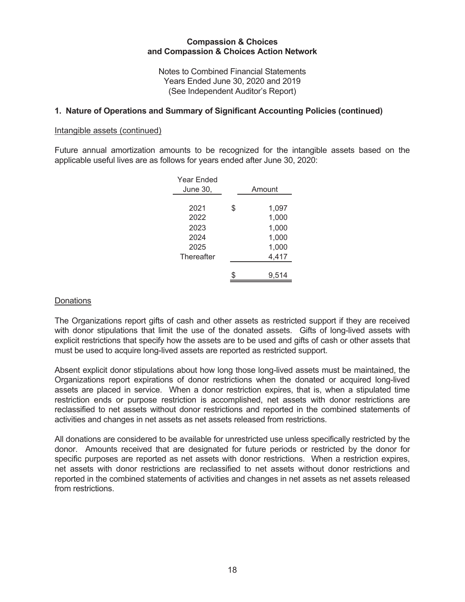Notes to Combined Financial Statements Years Ended June 30, 2020 and 2019 (See Independent Auditor's Report)

### **1. Nature of Operations and Summary of Significant Accounting Policies (continued)**

#### Intangible assets (continued)

Future annual amortization amounts to be recognized for the intangible assets based on the applicable useful lives are as follows for years ended after June 30, 2020:

| \$<br>1,097<br>2021<br>1,000<br>2022<br>1,000<br>2023<br>1,000<br>2024<br>1,000<br>2025<br>4,417<br>Thereafter<br>9.514 | Year Ended<br>June 30, | Amount |
|-------------------------------------------------------------------------------------------------------------------------|------------------------|--------|
|                                                                                                                         |                        |        |
|                                                                                                                         |                        |        |
|                                                                                                                         |                        |        |
|                                                                                                                         |                        |        |
|                                                                                                                         |                        |        |
|                                                                                                                         |                        |        |
|                                                                                                                         |                        |        |
|                                                                                                                         |                        |        |

#### **Donations**

The Organizations report gifts of cash and other assets as restricted support if they are received with donor stipulations that limit the use of the donated assets. Gifts of long-lived assets with explicit restrictions that specify how the assets are to be used and gifts of cash or other assets that must be used to acquire long-lived assets are reported as restricted support.

Absent explicit donor stipulations about how long those long-lived assets must be maintained, the Organizations report expirations of donor restrictions when the donated or acquired long-lived assets are placed in service. When a donor restriction expires, that is, when a stipulated time restriction ends or purpose restriction is accomplished, net assets with donor restrictions are reclassified to net assets without donor restrictions and reported in the combined statements of activities and changes in net assets as net assets released from restrictions.

All donations are considered to be available for unrestricted use unless specifically restricted by the donor. Amounts received that are designated for future periods or restricted by the donor for specific purposes are reported as net assets with donor restrictions. When a restriction expires, net assets with donor restrictions are reclassified to net assets without donor restrictions and reported in the combined statements of activities and changes in net assets as net assets released from restrictions.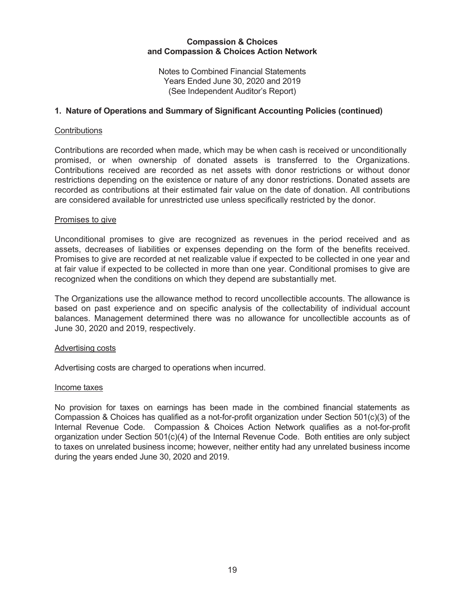Notes to Combined Financial Statements Years Ended June 30, 2020 and 2019 (See Independent Auditor's Report)

### **1. Nature of Operations and Summary of Significant Accounting Policies (continued)**

#### **Contributions**

Contributions are recorded when made, which may be when cash is received or unconditionally promised, or when ownership of donated assets is transferred to the Organizations. Contributions received are recorded as net assets with donor restrictions or without donor restrictions depending on the existence or nature of any donor restrictions. Donated assets are recorded as contributions at their estimated fair value on the date of donation. All contributions are considered available for unrestricted use unless specifically restricted by the donor.

#### Promises to give

Unconditional promises to give are recognized as revenues in the period received and as assets, decreases of liabilities or expenses depending on the form of the benefits received. Promises to give are recorded at net realizable value if expected to be collected in one year and at fair value if expected to be collected in more than one year. Conditional promises to give are recognized when the conditions on which they depend are substantially met.

The Organizations use the allowance method to record uncollectible accounts. The allowance is based on past experience and on specific analysis of the collectability of individual account balances. Management determined there was no allowance for uncollectible accounts as of June 30, 2020 and 2019, respectively.

#### Advertising costs

Advertising costs are charged to operations when incurred.

#### Income taxes

No provision for taxes on earnings has been made in the combined financial statements as Compassion & Choices has qualified as a not-for-profit organization under Section 501(c)(3) of the Internal Revenue Code. Compassion & Choices Action Network qualifies as a not-for-profit organization under Section 501(c)(4) of the Internal Revenue Code. Both entities are only subject to taxes on unrelated business income; however, neither entity had any unrelated business income during the years ended June 30, 2020 and 2019.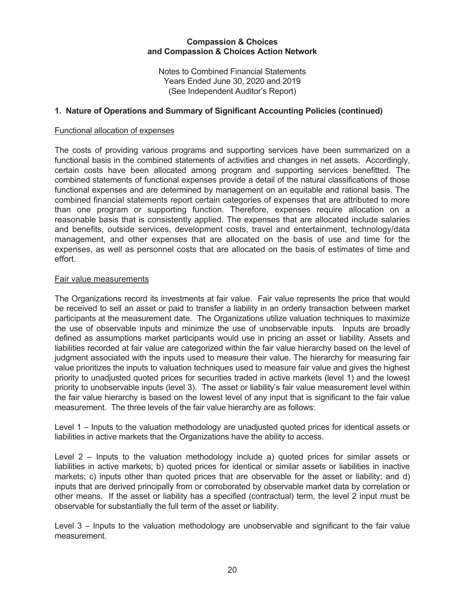Notes to Combined Financial Statements Years Ended June 30, 2020 and 2019 (See Independent Auditor's Report)

### **1. Nature of Operations and Summary of Significant Accounting Policies (continued)**

#### Functional allocation of expenses

The costs of providing various programs and supporting services have been summarized on a functional basis in the combined statements of activities and changes in net assets. Accordingly, certain costs have been allocated among program and supporting services benefitted. The combined statements of functional expenses provide a detail of the natural classifications of those functional expenses and are determined by management on an equitable and rational basis. The combined financial statements report certain categories of expenses that are attributed to more than one program or supporting function. Therefore, expenses require allocation on a reasonable basis that is consistently applied. The expenses that are allocated include salaries and benefits, outside services, development costs, travel and entertainment, technology/data management, and other expenses that are allocated on the basis of use and time for the expenses, as well as personnel costs that are allocated on the basis of estimates of time and effort.

#### Fair value measurements

The Organizations record its investments at fair value. Fair value represents the price that would be received to sell an asset or paid to transfer a liability in an orderly transaction between market participants at the measurement date. The Organizations utilize valuation techniques to maximize the use of observable inputs and minimize the use of unobservable inputs. Inputs are broadly defined as assumptions market participants would use in pricing an asset or liability. Assets and liabilities recorded at fair value are categorized within the fair value hierarchy based on the level of judgment associated with the inputs used to measure their value. The hierarchy for measuring fair value prioritizes the inputs to valuation techniques used to measure fair value and gives the highest priority to unadjusted quoted prices for securities traded in active markets (level 1) and the lowest priority to unobservable inputs (level 3). The asset or liability's fair value measurement level within the fair value hierarchy is based on the lowest level of any input that is significant to the fair value measurement. The three levels of the fair value hierarchy are as follows:

Level 1 – Inputs to the valuation methodology are unadjusted quoted prices for identical assets or liabilities in active markets that the Organizations have the ability to access.

Level 2 – Inputs to the valuation methodology include a) quoted prices for similar assets or liabilities in active markets; b) quoted prices for identical or similar assets or liabilities in inactive markets; c) inputs other than quoted prices that are observable for the asset or liability; and d) inputs that are derived principally from or corroborated by observable market data by correlation or other means. If the asset or liability has a specified (contractual) term, the level 2 input must be observable for substantially the full term of the asset or liability.

Level 3 – Inputs to the valuation methodology are unobservable and significant to the fair value measurement.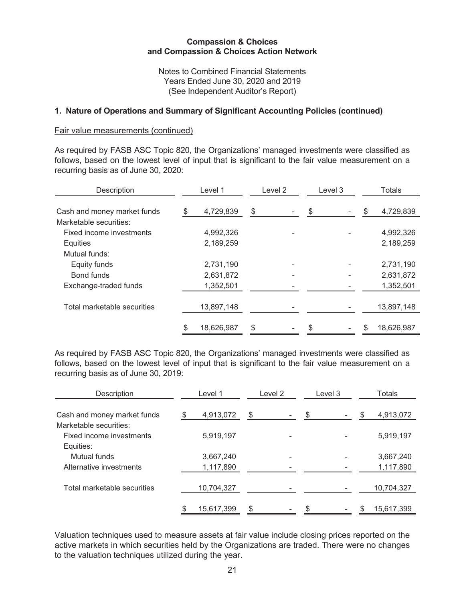Notes to Combined Financial Statements Years Ended June 30, 2020 and 2019 (See Independent Auditor's Report)

### **1. Nature of Operations and Summary of Significant Accounting Policies (continued)**

#### Fair value measurements (continued)

As required by FASB ASC Topic 820, the Organizations' managed investments were classified as follows, based on the lowest level of input that is significant to the fair value measurement on a recurring basis as of June 30, 2020:

| Description                 | Level 1          | Level 2 | Level 3 | <b>Totals</b>   |
|-----------------------------|------------------|---------|---------|-----------------|
| Cash and money market funds | \$<br>4,729,839  | \$      | \$      | \$<br>4,729,839 |
| Marketable securities:      |                  |         |         |                 |
| Fixed income investments    | 4,992,326        |         |         | 4,992,326       |
| <b>Equities</b>             | 2,189,259        |         |         | 2,189,259       |
| Mutual funds:               |                  |         |         |                 |
| Equity funds                | 2,731,190        |         |         | 2,731,190       |
| Bond funds                  | 2,631,872        |         |         | 2,631,872       |
| Exchange-traded funds       | 1,352,501        |         |         | 1,352,501       |
|                             |                  |         |         |                 |
| Total marketable securities | 13,897,148       |         |         | 13,897,148      |
|                             | \$<br>18,626,987 | \$      |         | 18,626,987      |

As required by FASB ASC Topic 820, the Organizations' managed investments were classified as follows, based on the lowest level of input that is significant to the fair value measurement on a recurring basis as of June 30, 2019:

| <b>Description</b>          |     | Level 1    | Level 2 | Level 3 |   | <b>Totals</b> |
|-----------------------------|-----|------------|---------|---------|---|---------------|
| Cash and money market funds | \$. | 4,913,072  | \$      | \$      | S | 4,913,072     |
| Marketable securities:      |     |            |         |         |   |               |
| Fixed income investments    |     | 5,919,197  |         |         |   | 5,919,197     |
| Equities:                   |     |            |         |         |   |               |
| Mutual funds                |     | 3,667,240  |         |         |   | 3,667,240     |
| Alternative investments     |     | 1,117,890  |         |         |   | 1,117,890     |
|                             |     |            |         |         |   |               |
| Total marketable securities |     | 10,704,327 |         |         |   | 10,704,327    |
|                             |     |            |         |         |   |               |
|                             |     | 15,617,399 | \$      | \$      |   | 15,617,399    |

Valuation techniques used to measure assets at fair value include closing prices reported on the active markets in which securities held by the Organizations are traded. There were no changes to the valuation techniques utilized during the year.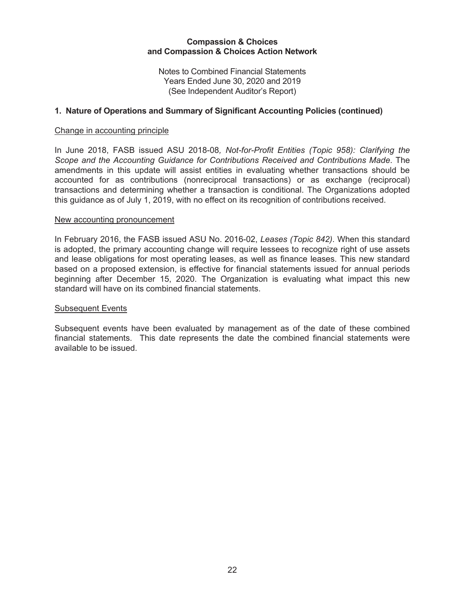Notes to Combined Financial Statements Years Ended June 30, 2020 and 2019 (See Independent Auditor's Report)

### **1. Nature of Operations and Summary of Significant Accounting Policies (continued)**

#### Change in accounting principle

In June 2018, FASB issued ASU 2018-08*, Not-for-Profit Entities (Topic 958): Clarifying the Scope and the Accounting Guidance for Contributions Received and Contributions Made*. The amendments in this update will assist entities in evaluating whether transactions should be accounted for as contributions (nonreciprocal transactions) or as exchange (reciprocal) transactions and determining whether a transaction is conditional. The Organizations adopted this guidance as of July 1, 2019, with no effect on its recognition of contributions received.

#### New accounting pronouncement

In February 2016, the FASB issued ASU No. 2016-02, *Leases (Topic 842)*. When this standard is adopted, the primary accounting change will require lessees to recognize right of use assets and lease obligations for most operating leases, as well as finance leases. This new standard based on a proposed extension, is effective for financial statements issued for annual periods beginning after December 15, 2020. The Organization is evaluating what impact this new standard will have on its combined financial statements.

#### Subsequent Events

Subsequent events have been evaluated by management as of the date of these combined financial statements. This date represents the date the combined financial statements were available to be issued.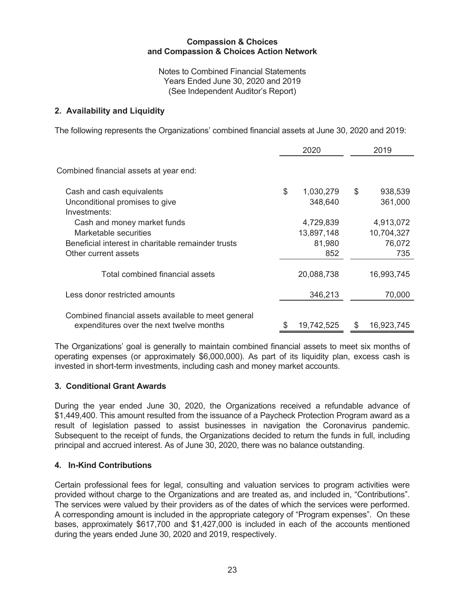Notes to Combined Financial Statements Years Ended June 30, 2020 and 2019 (See Independent Auditor's Report)

## **2. Availability and Liquidity**

The following represents the Organizations' combined financial assets at June 30, 2020 and 2019:

|                                                                                                                                    | 2020                                     | 2019                                     |
|------------------------------------------------------------------------------------------------------------------------------------|------------------------------------------|------------------------------------------|
| Combined financial assets at year end:                                                                                             |                                          |                                          |
| Cash and cash equivalents<br>Unconditional promises to give<br>Investments:                                                        | \$<br>1,030,279<br>348,640               | \$<br>938,539<br>361,000                 |
| Cash and money market funds<br>Marketable securities<br>Beneficial interest in charitable remainder trusts<br>Other current assets | 4,729,839<br>13,897,148<br>81,980<br>852 | 4,913,072<br>10,704,327<br>76,072<br>735 |
| Total combined financial assets                                                                                                    | 20,088,738                               | 16,993,745                               |
| Less donor restricted amounts                                                                                                      | 346,213                                  | 70,000                                   |
| Combined financial assets available to meet general<br>expenditures over the next twelve months                                    | 19,742,525                               | \$<br>16,923,745                         |

The Organizations' goal is generally to maintain combined financial assets to meet six months of operating expenses (or approximately \$6,000,000). As part of its liquidity plan, excess cash is invested in short-term investments, including cash and money market accounts.

### **3. Conditional Grant Awards**

During the year ended June 30, 2020, the Organizations received a refundable advance of \$1,449,400. This amount resulted from the issuance of a Paycheck Protection Program award as a result of legislation passed to assist businesses in navigation the Coronavirus pandemic. Subsequent to the receipt of funds, the Organizations decided to return the funds in full, including principal and accrued interest. As of June 30, 2020, there was no balance outstanding.

## **4. In-Kind Contributions**

Certain professional fees for legal, consulting and valuation services to program activities were provided without charge to the Organizations and are treated as, and included in, "Contributions". The services were valued by their providers as of the dates of which the services were performed. A corresponding amount is included in the appropriate category of "Program expenses". On these bases, approximately \$617,700 and \$1,427,000 is included in each of the accounts mentioned during the years ended June 30, 2020 and 2019, respectively.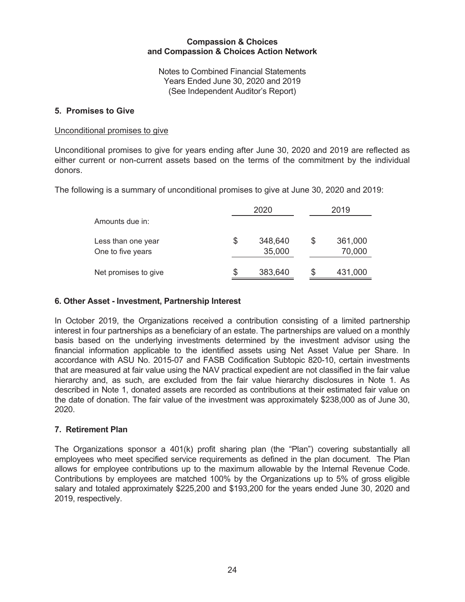Notes to Combined Financial Statements Years Ended June 30, 2020 and 2019 (See Independent Auditor's Report)

### **5. Promises to Give**

### Unconditional promises to give

Unconditional promises to give for years ending after June 30, 2020 and 2019 are reflected as either current or non-current assets based on the terms of the commitment by the individual donors.

The following is a summary of unconditional promises to give at June 30, 2020 and 2019:

|                                         |   | 2020              |   | 2019              |
|-----------------------------------------|---|-------------------|---|-------------------|
| Amounts due in:                         |   |                   |   |                   |
| Less than one year<br>One to five years | S | 348,640<br>35,000 | S | 361,000<br>70,000 |
| Net promises to give                    | S | 383,640           | S | 431,000           |

### **6. Other Asset - Investment, Partnership Interest**

In October 2019, the Organizations received a contribution consisting of a limited partnership interest in four partnerships as a beneficiary of an estate. The partnerships are valued on a monthly basis based on the underlying investments determined by the investment advisor using the financial information applicable to the identified assets using Net Asset Value per Share. In accordance with ASU No. 2015-07 and FASB Codification Subtopic 820-10, certain investments that are measured at fair value using the NAV practical expedient are not classified in the fair value hierarchy and, as such, are excluded from the fair value hierarchy disclosures in Note 1. As described in Note 1, donated assets are recorded as contributions at their estimated fair value on the date of donation. The fair value of the investment was approximately \$238,000 as of June 30, 2020.

### **7. Retirement Plan**

The Organizations sponsor a 401(k) profit sharing plan (the "Plan") covering substantially all employees who meet specified service requirements as defined in the plan document. The Plan allows for employee contributions up to the maximum allowable by the Internal Revenue Code. Contributions by employees are matched 100% by the Organizations up to 5% of gross eligible salary and totaled approximately \$225,200 and \$193,200 for the years ended June 30, 2020 and 2019, respectively.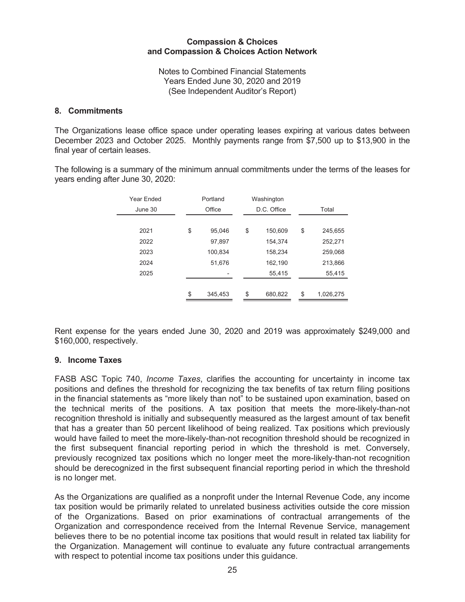Notes to Combined Financial Statements Years Ended June 30, 2020 and 2019 (See Independent Auditor's Report)

### **8. Commitments**

The Organizations lease office space under operating leases expiring at various dates between December 2023 and October 2025. Monthly payments range from \$7,500 up to \$13,900 in the final year of certain leases.

The following is a summary of the minimum annual commitments under the terms of the leases for years ending after June 30, 2020:

| Year Ended | Portland |         | Washington |    |             |               |         |                 |
|------------|----------|---------|------------|----|-------------|---------------|---------|-----------------|
| June 30    |          | Office  |            |    | D.C. Office | Total         |         |                 |
|            |          |         |            |    |             |               |         |                 |
| 2021       | \$       | 95,046  |            | \$ | 150,609     | \$<br>245,655 |         |                 |
| 2022       |          | 97,897  |            |    | 154,374     | 252,271       |         |                 |
| 2023       |          | 100.834 |            |    | 158,234     | 259,068       |         |                 |
| 2024       |          | 51,676  |            |    | 162,190     | 213,866       |         |                 |
| 2025       |          |         |            |    | 55,415      | 55,415        |         |                 |
|            |          |         |            |    |             |               |         |                 |
|            | \$       | 345,453 |            |    |             | \$            | 680,822 | \$<br>1,026,275 |
|            |          |         |            |    |             |               |         |                 |

Rent expense for the years ended June 30, 2020 and 2019 was approximately \$249,000 and \$160,000, respectively.

#### **9. Income Taxes**

FASB ASC Topic 740, *Income Taxes*, clarifies the accounting for uncertainty in income tax positions and defines the threshold for recognizing the tax benefits of tax return filing positions in the financial statements as "more likely than not" to be sustained upon examination, based on the technical merits of the positions. A tax position that meets the more-likely-than-not recognition threshold is initially and subsequently measured as the largest amount of tax benefit that has a greater than 50 percent likelihood of being realized. Tax positions which previously would have failed to meet the more-likely-than-not recognition threshold should be recognized in the first subsequent financial reporting period in which the threshold is met. Conversely, previously recognized tax positions which no longer meet the more-likely-than-not recognition should be derecognized in the first subsequent financial reporting period in which the threshold is no longer met.

As the Organizations are qualified as a nonprofit under the Internal Revenue Code, any income tax position would be primarily related to unrelated business activities outside the core mission of the Organizations. Based on prior examinations of contractual arrangements of the Organization and correspondence received from the Internal Revenue Service, management believes there to be no potential income tax positions that would result in related tax liability for the Organization. Management will continue to evaluate any future contractual arrangements with respect to potential income tax positions under this guidance.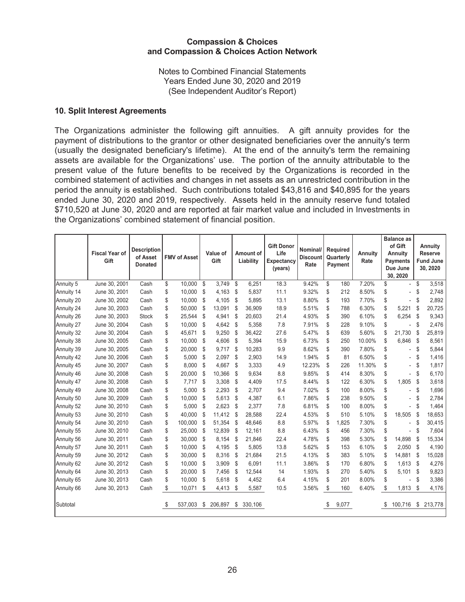Notes to Combined Financial Statements Years Ended June 30, 2020 and 2019 (See Independent Auditor's Report)

### **10. Split Interest Agreements**

The Organizations administer the following gift annuities. A gift annuity provides for the payment of distributions to the grantor or other designated beneficiaries over the annuity's term (usually the designated beneficiary's lifetime). At the end of the annuity's term the remaining assets are available for the Organizations' use. The portion of the annuity attributable to the present value of the future benefits to be received by the Organizations is recorded in the combined statement of activities and changes in net assets as an unrestricted contribution in the period the annuity is established. Such contributions totaled \$43,816 and \$40,895 for the years ended June 30, 2020 and 2019, respectively. Assets held in the annuity reserve fund totaled \$710,520 at June 30, 2020 and are reported at fair market value and included in Investments in the Organizations' combined statement of financial position.

|            | <b>Fiscal Year of</b><br>Gift | <b>Description</b><br>of Asset<br><b>Donated</b> | <b>FMV of Asset</b> | Value of<br>Gift |         | Amount of<br>Liability |         | <b>Gift Donor</b><br>Life<br><b>Expectancy</b><br>(years) | Nominal/<br><b>Discount</b><br>Rate |    | <b>Required</b><br>Quarterly<br>Payment | <b>Annuity</b><br>Rate | <b>Balance as</b><br>of Gift<br>Annuity<br><b>Payments</b><br>Due June<br>30, 2020 |    | Annuity<br><b>Reserve</b><br><b>Fund June</b><br>30, 2020 |
|------------|-------------------------------|--------------------------------------------------|---------------------|------------------|---------|------------------------|---------|-----------------------------------------------------------|-------------------------------------|----|-----------------------------------------|------------------------|------------------------------------------------------------------------------------|----|-----------------------------------------------------------|
| Annuity 5  | June 30, 2001                 | Cash                                             | \$<br>10,000        | \$               | 3,749   | \$                     | 6,251   | 18.3                                                      | 9.42%                               | \$ | 180                                     | 7.20%                  | \$<br>$\blacksquare$                                                               | \$ | 3,518                                                     |
| Annuity 14 | June 30, 2001                 | Cash                                             | \$<br>10,000        | \$               | 4,163   | \$                     | 5,837   | 11.1                                                      | 9.32%                               | \$ | 212                                     | 8.50%                  | \$                                                                                 | \$ | 2,748                                                     |
| Annuity 20 | June 30, 2002                 | Cash                                             | \$<br>10,000        | \$               | 4,105   | \$                     | 5,895   | 13.1                                                      | 8.80%                               | \$ | 193                                     | 7.70%                  | \$<br>٠                                                                            | \$ | 2,892                                                     |
| Annuity 24 | June 30, 2003                 | Cash                                             | \$<br>50,000        | \$               | 13,091  | \$                     | 36,909  | 18.9                                                      | 5.51%                               | \$ | 788                                     | 6.30%                  | \$<br>5,221                                                                        | \$ | 20,725                                                    |
| Annuity 26 | June 30, 2003                 | <b>Stock</b>                                     | \$<br>25,544        | \$               | 4,941   | \$                     | 20,603  | 21.4                                                      | 4.93%                               | \$ | 390                                     | 6.10%                  | \$<br>6,254                                                                        | \$ | 9,343                                                     |
| Annuity 27 | June 30, 2004                 | Cash                                             | \$<br>10,000        | \$               | 4,642   | \$                     | 5,358   | 7.8                                                       | 7.91%                               | \$ | 228                                     | 9.10%                  | \$<br>÷                                                                            | \$ | 2,476                                                     |
| Annuity 32 | June 30, 2004                 | Cash                                             | \$<br>45,671        | \$               | 9,250   | \$                     | 36,422  | 27.6                                                      | 5.47%                               | \$ | 639                                     | 5.60%                  | \$<br>21,730                                                                       | \$ | 25,819                                                    |
| Annuity 38 | June 30, 2005                 | Cash                                             | \$<br>10,000        | \$               | 4,606   | \$                     | 5,394   | 15.9                                                      | 6.73%                               | \$ | 250                                     | 10.00%                 | \$<br>6,846                                                                        | \$ | 8,561                                                     |
| Annuity 39 | June 30, 2005                 | Cash                                             | \$<br>20,000        | \$               | 9,717   | \$                     | 10,283  | 9.9                                                       | 8.62%                               | \$ | 390                                     | 7.80%                  | \$<br>٠                                                                            | \$ | 5,844                                                     |
| Annuity 42 | June 30, 2006                 | Cash                                             | \$<br>5,000         | \$               | 2,097   | \$                     | 2,903   | 14.9                                                      | 1.94%                               | \$ | 81                                      | 6.50%                  | \$<br>٠                                                                            | \$ | 1,416                                                     |
| Annuity 45 | June 30, 2007                 | Cash                                             | \$<br>8,000         | \$               | 4,667   | \$                     | 3,333   | 4.9                                                       | 12.23%                              | \$ | 226                                     | 11.30%                 | \$<br>÷                                                                            | \$ | 1,817                                                     |
| Annuity 46 | June 30, 2008                 | Cash                                             | \$<br>20,000        | \$               | 10,366  | \$                     | 9,634   | 8.8                                                       | 9.85%                               | \$ | 414                                     | 8.30%                  | \$                                                                                 | \$ | 6,170                                                     |
| Annuity 47 | June 30, 2008                 | Cash                                             | \$<br>7,717         | \$               | 3,308   | \$                     | 4,409   | 17.5                                                      | 8.44%                               | \$ | 122                                     | 6.30%                  | \$<br>1,805                                                                        | \$ | 3,618                                                     |
| Annuity 49 | June 30, 2008                 | Cash                                             | \$<br>5,000         | \$               | 2,293   | \$                     | 2,707   | 9.4                                                       | 7.02%                               | \$ | 100                                     | 8.00%                  | \$                                                                                 | \$ | 1,696                                                     |
| Annuity 50 | June 30, 2009                 | Cash                                             | \$<br>10,000        | \$               | 5,613   | \$                     | 4,387   | 6.1                                                       | 7.86%                               | \$ | 238                                     | 9.50%                  | \$<br>٠                                                                            | \$ | 2,784                                                     |
| Annuity 52 | June 30, 2010                 | Cash                                             | \$<br>5,000         | \$               | 2,623   | \$                     | 2,377   | 7.8                                                       | 6.81%                               | \$ | 100                                     | 8.00%                  | \$                                                                                 | \$ | 1,464                                                     |
| Annuity 53 | June 30, 2010                 | Cash                                             | \$<br>40.000        | \$               | 11,412  | \$                     | 28.588  | 22.4                                                      | 4.53%                               | \$ | 510                                     | 5.10%                  | \$<br>18,505                                                                       | \$ | 18,653                                                    |
| Annuity 54 | June 30, 2010                 | Cash                                             | \$<br>100,000       | \$               | 51,354  | \$                     | 48,646  | 8.8                                                       | 5.97%                               | \$ | 1,825                                   | 7.30%                  | \$<br>٠                                                                            | \$ | 30,415                                                    |
| Annuity 55 | June 30, 2010                 | Cash                                             | \$<br>25,000        | \$               | 12,839  | \$                     | 12,161  | 8.8                                                       | 6.43%                               | \$ | 456                                     | 7.30%                  | \$<br>÷                                                                            | \$ | 7,604                                                     |
| Annuity 56 | June 30, 2011                 | Cash                                             | \$<br>30,000        | \$               | 8,154   | \$                     | 21,846  | 22.4                                                      | 4.78%                               | \$ | 398                                     | 5.30%                  | \$<br>14,898                                                                       | \$ | 15,334                                                    |
| Annuity 57 | June 30, 2011                 | Cash                                             | \$<br>10,000        | \$               | 4,195   | \$                     | 5,805   | 13.8                                                      | 5.62%                               | \$ | 153                                     | 6.10%                  | \$<br>2,050                                                                        | \$ | 4,190                                                     |
| Annuity 59 | June 30, 2012                 | Cash                                             | \$<br>30,000        | \$               | 8,316   | \$                     | 21,684  | 21.5                                                      | 4.13%                               | \$ | 383                                     | 5.10%                  | \$<br>14,881                                                                       | \$ | 15,028                                                    |
| Annuity 62 | June 30, 2012                 | Cash                                             | \$<br>10,000        | \$               | 3,909   | \$                     | 6,091   | 11.1                                                      | 3.86%                               | \$ | 170                                     | 6.80%                  | \$<br>1,613                                                                        | \$ | 4,276                                                     |
| Annuity 64 | June 30, 2013                 | Cash                                             | \$<br>20,000        | \$               | 7,456   | \$                     | 12,544  | 14                                                        | 1.93%                               | \$ | 270                                     | 5.40%                  | \$<br>5,101                                                                        | \$ | 9,823                                                     |
| Annuity 65 | June 30, 2013                 | Cash                                             | \$<br>10,000        | \$               | 5,618   | \$                     | 4,452   | 6.4                                                       | 4.15%                               | \$ | 201                                     | 8.00%                  | \$                                                                                 | S  | 3,386                                                     |
| Annuity 66 | June 30, 2013                 | Cash                                             | \$<br>10,071        | \$               | 4,413   | \$                     | 5,587   | 10.5                                                      | 3.56%                               | \$ | 160                                     | 6.40%                  | \$<br>1,813                                                                        | \$ | 4,176                                                     |
| Subtotal   |                               |                                                  | \$<br>537,003       | \$               | 206,897 | \$                     | 330,106 |                                                           |                                     | S  | 9,077                                   |                        | \$<br>100,716                                                                      | \$ | 213,778                                                   |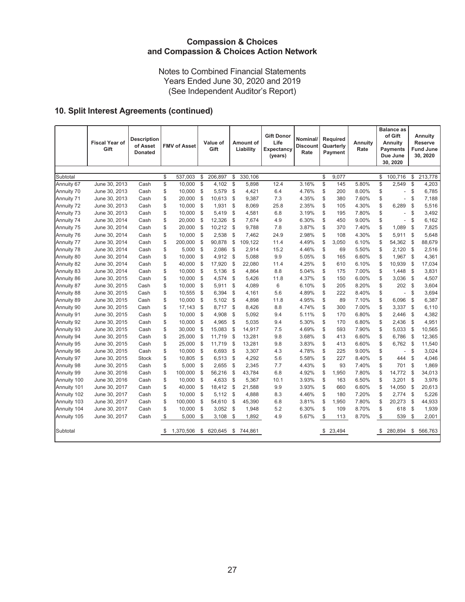Notes to Combined Financial Statements Years Ended June 30, 2020 and 2019 (See Independent Auditor's Report)

# **10. Split Interest Agreements (continued)**

|             | <b>Fiscal Year of</b><br>Gift | <b>Description</b><br>of Asset<br><b>Donated</b> |      | <b>FMV of Asset</b> |               | Value of<br>Gift |                | Amount of<br>Liability | <b>Gift Donor</b><br>Life<br>Expectancy<br>(years) | Nominal/<br><b>Discount</b><br>Rate | <b>Required</b><br>Quarterly<br>Payment |          |       |                         | <b>Annuity</b><br>Rate |                | <b>Balance as</b><br>of Gift<br>Annuity<br><b>Payments</b><br>Due June<br>30, 2020 |  | <b>Annuity</b><br><b>Reserve</b><br><b>Fund June</b><br>30, 2020 |
|-------------|-------------------------------|--------------------------------------------------|------|---------------------|---------------|------------------|----------------|------------------------|----------------------------------------------------|-------------------------------------|-----------------------------------------|----------|-------|-------------------------|------------------------|----------------|------------------------------------------------------------------------------------|--|------------------------------------------------------------------|
|             |                               |                                                  |      |                     |               |                  |                |                        |                                                    |                                     |                                         |          |       |                         |                        |                |                                                                                    |  |                                                                  |
| Subtotal    |                               |                                                  | \$   | 537,003             | \$            | 206,897          | \$             | 330,106                |                                                    |                                     | \$                                      | 9,077    |       | \$                      | 100,716                | \$             | 213,778                                                                            |  |                                                                  |
| Annuity 67  | June 30, 2013                 | Cash                                             | \$   | 10,000              | $\mathbb{S}$  | 4,102            | $\mathfrak{S}$ | 5,898                  | 12.4                                               | 3.16%                               | \$                                      | 145      | 5.80% | $\overline{\mathbb{S}}$ | 2,549                  | \$             | 4,203                                                                              |  |                                                                  |
| Annuity 70  | June 30, 2013                 | Cash                                             | \$   | 10,000              | \$            | 5,579            | \$             | 4,421                  | 6.4                                                | 4.76%                               | \$                                      | 200      | 8.00% | \$                      | $\overline{a}$         | \$             | 6,785                                                                              |  |                                                                  |
| Annuity 71  | June 30, 2013                 | Cash                                             | \$   | 20,000              | \$            | 10,613           | $\mathcal{S}$  | 9,387                  | 7.3                                                | 4.35%                               | \$                                      | 380      | 7.60% | \$                      | $\overline{a}$         | \$             | 7,188                                                                              |  |                                                                  |
| Annuity 72  | June 30, 2013                 | Cash                                             | \$   | 10,000              | \$            | 1,931            | \$             | 8,069                  | 25.8                                               | 2.35%                               | \$                                      | 105      | 4.30% | \$                      | 6,289                  | \$             | 5,516                                                                              |  |                                                                  |
| Annuity 73  | June 30, 2013                 | Cash                                             | \$   | 10,000              | \$            | 5,419            | \$             | 4,581                  | 6.8                                                | 3.19%                               | \$                                      | 195      | 7.80% | \$                      | $\overline{a}$         | \$             | 3,492                                                                              |  |                                                                  |
| Annuity 74  | June 30, 2014                 | Cash                                             | \$   | 20,000              | \$            | 12,326           | \$             | 7,674                  | 4.9                                                | 6.30%                               | \$                                      | 450      | 9.00% | \$                      | $\overline{a}$         | \$             | 6,162                                                                              |  |                                                                  |
| Annuity 75  | June 30, 2014                 | Cash                                             | \$   | 20,000              | \$            | 10,212           | \$             | 9,788                  | 7.8                                                | 3.87%                               | \$                                      | 370      | 7.40% | \$                      | 1,089                  | \$             | 7,825                                                                              |  |                                                                  |
| Annuity 76  | June 30, 2014                 | Cash                                             | \$   | 10,000              | \$            | 2,538            | \$             | 7,462                  | 24.9                                               | 2.98%                               | \$                                      | 108      | 4.30% | \$                      | 5,911                  | \$             | 5,648                                                                              |  |                                                                  |
| Annuity 77  | June 30, 2014                 | Cash                                             | \$   | 200,000             | \$            | 90,878           | \$             | 109,122                | 11.4                                               | 4.49%                               | \$                                      | 3,050    | 6.10% | \$                      | 54,362                 | \$             | 88,679                                                                             |  |                                                                  |
| Annuity 78  | June 30, 2014                 | Cash                                             | \$   | 5,000               | $\mathsf{\$}$ | 2,086            | $\mathcal{S}$  | 2,914                  | 15.2                                               | 4.46%                               | \$                                      | 69       | 5.50% | \$                      | 2,120                  | \$             | 2,516                                                                              |  |                                                                  |
| Annuity 80  | June 30, 2014                 | Cash                                             | \$   | 10,000              | \$            | 4,912            | \$             | 5,088                  | 9.9                                                | 5.05%                               | \$                                      | 165      | 6.60% | \$                      | 1,967                  | \$             | 4,361                                                                              |  |                                                                  |
| Annuity 82  | June 30, 2014                 | Cash                                             | \$   | 40,000              | \$            | 17,920           | \$             | 22,080                 | 11.4                                               | 4.25%                               | \$                                      | 610      | 6.10% | \$                      | 10,939                 | \$             | 17,034                                                                             |  |                                                                  |
| Annuity 83  | June 30, 2014                 | Cash                                             | \$   | 10,000              | $\sqrt{2}$    | 5,136            | \$             | 4,864                  | 8.8                                                | 5.04%                               | \$                                      | 175      | 7.00% | \$                      | 1,448                  | \$             | 3,831                                                                              |  |                                                                  |
| Annuity 86  | June 30, 2015                 | Cash                                             | \$   | 10,000              | \$            | 4,574            | \$             | 5,426                  | 11.8                                               | 4.37%                               | \$                                      | 150      | 6.00% | \$                      | 3,036                  | \$             | 4,507                                                                              |  |                                                                  |
| Annuity 87  | June 30, 2015                 | Cash                                             | \$   | 10,000              | \$            | 5,911            | \$             | 4,089                  | 6                                                  | 6.10%                               | \$                                      | 205      | 8.20% | \$                      | 202                    | \$             | 3,604                                                                              |  |                                                                  |
| Annuity 88  | June 30, 2015                 | Cash                                             | \$   | 10,555              | $\mathsf{\$}$ | 6,394            | \$             | 4,161                  | 5.6                                                | 4.89%                               | \$                                      | 222      | 8.40% | \$                      | $\overline{a}$         | \$             | 3,694                                                                              |  |                                                                  |
| Annuity 89  | June 30, 2015                 | Cash                                             | \$   | 10,000              | \$            | 5,102            | \$             | 4,898                  | 11.8                                               | 4.95%                               | \$                                      | 89       | 7.10% | \$                      | 6,096                  | \$             | 6,387                                                                              |  |                                                                  |
| Annuity 90  | June 30, 2015                 | Cash                                             | \$   | 17,143              | \$            | 8,717            | \$             | 8,426                  | 8.8                                                | 4.74%                               | \$                                      | 300      | 7.00% | \$                      | 3,337                  | \$             | 6,110                                                                              |  |                                                                  |
| Annuity 91  | June 30, 2015                 | Cash                                             | \$   | 10,000              | \$            | 4,908            | \$             | 5,092                  | 9.4                                                | 5.11%                               | \$                                      | 170      | 6.80% | \$                      | 2,446                  | \$             | 4,382                                                                              |  |                                                                  |
| Annuity 92  | June 30, 2015                 | Cash                                             | \$   | 10,000              | \$            | 4,965            | \$             | 5,035                  | 9.4                                                | 5.30%                               | \$                                      | 170      | 6.80% | \$                      | 2,436                  | \$             | 4,951                                                                              |  |                                                                  |
| Annuity 93  | June 30, 2015                 | Cash                                             | \$   | 30,000              | \$            | 15,083           | \$             | 14,917                 | 7.5                                                | 4.69%                               | \$                                      | 593      | 7.90% | \$                      | 5,033                  | \$             | 10,565                                                                             |  |                                                                  |
| Annuity 94  | June 30, 2015                 | Cash                                             | \$   | 25,000              | \$            | 11,719           | \$             | 13,281                 | 9.8                                                | 3.68%                               | \$                                      | 413      | 6.60% | \$                      | 6,786                  | $\mathfrak{s}$ | 12,365                                                                             |  |                                                                  |
| Annuity 95  | June 30, 2015                 | Cash                                             | \$   | 25,000              | \$            | 11,719           | \$             | 13,281                 | 9.8                                                | 3.83%                               | \$                                      | 413      | 6.60% | \$                      | 6,762                  | \$             | 11,540                                                                             |  |                                                                  |
| Annuity 96  | June 30, 2015                 | Cash                                             | \$   | 10,000              | \$            | 6,693            | \$             | 3,307                  | 4.3                                                | 4.78%                               | \$                                      | 225      | 9.00% | \$                      | $\overline{a}$         | \$             | 3,024                                                                              |  |                                                                  |
| Annuity 97  | June 30, 2015                 | <b>Stock</b>                                     | \$   | 10,805              | $\mathsf{\$}$ | 6,513            | \$             | 4,292                  | 5.6                                                | 5.58%                               | \$                                      | 227      | 8.40% | \$                      | 444                    | \$             | 4,046                                                                              |  |                                                                  |
| Annuity 98  | June 30, 2015                 | Cash                                             | \$   | 5,000               | \$            | 2,655            | \$             | 2,345                  | 7.7                                                | 4.43%                               | \$                                      | 93       | 7.40% | \$                      | 701                    | \$             | 1,869                                                                              |  |                                                                  |
| Annuity 99  | June 30, 2016                 | Cash                                             | \$   | 100,000             | \$            | 56,216           | \$             | 43,784                 | 6.8                                                | 4.92%                               | \$                                      | 1,950    | 7.80% | \$                      | 14,772                 | \$             | 34,013                                                                             |  |                                                                  |
| Annuity 100 | June 30, 2016                 | Cash                                             | \$   | 10,000              | \$            | 4,633            | \$             | 5,367                  | 10.1                                               | 3.93%                               | \$                                      | 163      | 6.50% | \$                      | 3,201                  | \$             | 3,976                                                                              |  |                                                                  |
| Annuity 101 | June 30, 2017                 | Cash                                             | \$   | 40,000              | \$            | 18,412           | \$             | 21,588                 | 9.9                                                | 3.93%                               | \$                                      | 660      | 6.60% | \$                      | 14,050                 | \$             | 20,613                                                                             |  |                                                                  |
| Annuity 102 | June 30, 2017                 | Cash                                             | \$   | 10,000              | $\mathsf{\$}$ | 5,112            | $\mathcal{S}$  | 4,888                  | 8.3                                                | 4.46%                               | \$                                      | 180      | 7.20% | \$                      | 2,774                  | \$             | 5,226                                                                              |  |                                                                  |
| Annuity 103 | June 30, 2017                 | Cash                                             | \$   | 100,000             | \$            | 54,610           | \$             | 45,390                 | 6.8                                                | 3.81%                               | \$                                      | 1,950    | 7.80% | \$                      | 20,273                 | \$             | 44,933                                                                             |  |                                                                  |
| Annuity 104 | June 30, 2017                 | Cash                                             | \$   | 10,000              | \$            | 3,052            | \$             | 1,948                  | 5.2                                                | 6.30%                               | \$                                      | 109      | 8.70% | \$                      | 618                    | \$             | 1,939                                                                              |  |                                                                  |
| Annuity 105 | June 30, 2017                 | Cash                                             | \$   | 5,000               | \$            | 3,108            | \$             | 1,892                  | 4.9                                                | 5.67%                               | \$                                      | 113      | 8.70% | \$                      | 539                    | \$             | 2,001                                                                              |  |                                                                  |
| Subtotal    |                               |                                                  | - \$ | 1.370.506           | \$            | 620,645          | \$             | 744,861                |                                                    |                                     |                                         | \$23,494 |       | \$                      | 280,894                | \$             | 566,763                                                                            |  |                                                                  |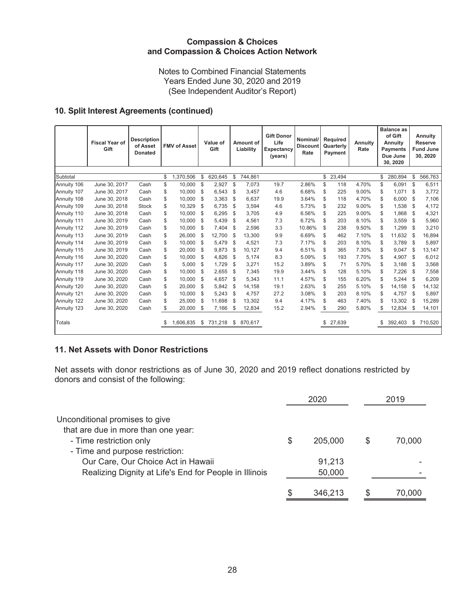Notes to Combined Financial Statements Years Ended June 30, 2020 and 2019 (See Independent Auditor's Report)

## **10. Split Interest Agreements (continued)**

|             | <b>Fiscal Year of</b><br>Gift | <b>Description</b><br>of Asset<br><b>Donated</b> | <b>FMV of Asset</b> |     | Value of<br>Gift    | Amount of<br>Liability |         | <b>Gift Donor</b><br>Life<br>Expectancy<br>(years) | Nominal/<br><b>Discount</b><br>Rate | Required<br>Quarterly<br>Payment | <b>Annuity</b><br>Rate | <b>Balance as</b><br>of Gift<br><b>Annuity</b><br><b>Payments</b><br>Due June<br>30, 2020 |     | Annuity<br><b>Reserve</b><br><b>Fund June</b><br>30, 2020 |
|-------------|-------------------------------|--------------------------------------------------|---------------------|-----|---------------------|------------------------|---------|----------------------------------------------------|-------------------------------------|----------------------------------|------------------------|-------------------------------------------------------------------------------------------|-----|-----------------------------------------------------------|
|             |                               |                                                  |                     |     |                     |                        |         |                                                    |                                     |                                  |                        |                                                                                           |     |                                                           |
| Subtotal    |                               |                                                  | \$<br>1,370,506     | \$  | 620,645             | \$                     | 744,861 |                                                    |                                     | \$<br>23,494                     |                        | \$<br>280,894                                                                             | \$  | 566,763                                                   |
| Annuity 106 | June 30, 2017                 | Cash                                             | \$<br>10,000        | \$  | 2,927               | \$                     | 7,073   | 19.7                                               | 2.86%                               | \$<br>118                        | 4.70%                  | \$<br>6,091                                                                               | \$  | 6,511                                                     |
| Annuity 107 | June 30, 2017                 | Cash                                             | \$<br>10,000        | \$  | 6,543               | \$                     | 3,457   | 4.6                                                | 6.68%                               | \$<br>225                        | 9.00%                  | \$<br>1,071                                                                               | S   | 3,772                                                     |
| Annuity 108 | June 30, 2018                 | Cash                                             | \$<br>10,000        | -\$ | 3,363               | \$                     | 6,637   | 19.9                                               | 3.64%                               | \$<br>118                        | 4.70%                  | \$<br>6,000                                                                               | \$  | 7,106                                                     |
| Annuity 109 | June 30, 2018                 | <b>Stock</b>                                     | \$<br>10,329        | S.  | 6,735               | \$                     | 3,594   | 4.6                                                | 5.73%                               | \$<br>232                        | 9.00%                  | \$<br>1,538                                                                               | \$. | 4,172                                                     |
| Annuity 110 | June 30, 2018                 | Cash                                             | \$<br>10,000        | \$  | 6,295               | \$                     | 3,705   | 4.9                                                | 6.56%                               | \$<br>225                        | 9.00%                  | \$<br>1,868                                                                               | \$. | 4,321                                                     |
| Annuity 111 | June 30, 2019                 | Cash                                             | \$<br>10,000        | \$  | 5,439               | \$                     | 4,561   | 7.3                                                | 6.72%                               | \$<br>203                        | 8.10%                  | \$<br>3,559                                                                               | \$  | 5,960                                                     |
| Annuity 112 | June 30, 2019                 | Cash                                             | \$<br>10.000        | -\$ | 7.404               | \$.                    | 2,596   | 3.3                                                | 10.86%                              | \$<br>238                        | 9.50%                  | \$<br>1.299                                                                               | S   | 3,210                                                     |
| Annuity 113 | June 30, 2019                 | Cash                                             | \$<br>26,000        | -\$ | 12,700              | \$                     | 13,300  | 9.9                                                | 6.69%                               | \$<br>462                        | 7.10%                  | \$<br>11,632                                                                              | S   | 16,894                                                    |
| Annuity 114 | June 30, 2019                 | Cash                                             | \$<br>10.000        | \$  | 5,479               | \$                     | 4,521   | 7.3                                                | 7.17%                               | \$<br>203                        | 8.10%                  | \$<br>3.789                                                                               | \$  | 5,897                                                     |
| Annuity 115 | June 30, 2019                 | Cash                                             | \$<br>20,000        | \$  | 9.873               | \$                     | 10.127  | 9.4                                                | 6.51%                               | \$<br>365                        | 7.30%                  | \$<br>9.047                                                                               | S   | 13,147                                                    |
| Annuity 116 | June 30, 2020                 | Cash                                             | \$<br>10,000        | \$  | 4,826               | \$                     | 5,174   | 8.3                                                | 5.09%                               | \$<br>193                        | 7.70%                  | \$<br>4,907                                                                               | S   | 6,012                                                     |
| Annuity 117 | June 30, 2020                 | Cash                                             | \$<br>5.000         | S.  | 1,729               | \$                     | 3,271   | 15.2                                               | 3.89%                               | \$<br>71                         | 5.70%                  | \$<br>3,188                                                                               | \$  | 3,568                                                     |
| Annuity 118 | June 30, 2020                 | Cash                                             | \$<br>10.000        | \$  | 2,655               | \$                     | 7,345   | 19.9                                               | 3.44%                               | \$<br>128                        | 5.10%                  | \$<br>7,226                                                                               | \$  | 7,558                                                     |
| Annuity 119 | June 30, 2020                 | Cash                                             | \$<br>10.000        | \$  | 4,657               | \$                     | 5,343   | 11.1                                               | 4.57%                               | \$<br>155                        | 6.20%                  | 5,244                                                                                     | \$  | 6,209                                                     |
| Annuity 120 | June 30, 2020                 | Cash                                             | \$<br>20,000        | \$  | 5,842               | S                      | 14,158  | 19.1                                               | 2.63%                               | \$<br>255                        | 5.10%                  | \$<br>14,158                                                                              | \$  | 14,132                                                    |
| Annuity 121 | June 30, 2020                 | Cash                                             | \$<br>10.000        | \$  | 5,243               | \$                     | 4.757   | 27.2                                               | 3.08%                               | \$<br>203                        | 8.10%                  | \$<br>4.757                                                                               | \$  | 5,897                                                     |
| Annuity 122 | June 30, 2020                 | Cash                                             | \$<br>25,000        | \$  | 11,698              | \$                     | 13,302  | 9.4                                                | 4.17%                               | \$<br>463                        | 7.40%                  | \$<br>13,302                                                                              | \$  | 15,289                                                    |
| Annuity 123 | June 30, 2020                 | Cash                                             | \$<br>20,000        | \$  | 7,166               | \$                     | 12,834  | 15.2                                               | 2.94%                               | \$<br>290                        | 5.80%                  | \$<br>12,834                                                                              | \$  | 14,101                                                    |
| Totals      |                               |                                                  | 1,606,835           |     | \$731,218 \$870,617 |                        |         |                                                    |                                     | 27,639                           |                        | 392,403                                                                                   |     | \$ 710,520                                                |

### **11. Net Assets with Donor Restrictions**

Net assets with donor restrictions as of June 30, 2020 and 2019 reflect donations restricted by donors and consist of the following:

|                                                        |   | 2020    |   | 2019   |
|--------------------------------------------------------|---|---------|---|--------|
| Unconditional promises to give                         |   |         |   |        |
| that are due in more than one year:                    |   |         |   |        |
| - Time restriction only                                | S | 205,000 | S | 70,000 |
| - Time and purpose restriction:                        |   |         |   |        |
| Our Care, Our Choice Act in Hawaii                     |   | 91,213  |   |        |
| Realizing Dignity at Life's End for People in Illinois |   | 50,000  |   |        |
|                                                        |   |         |   |        |
|                                                        |   | 346,213 | S | 70,000 |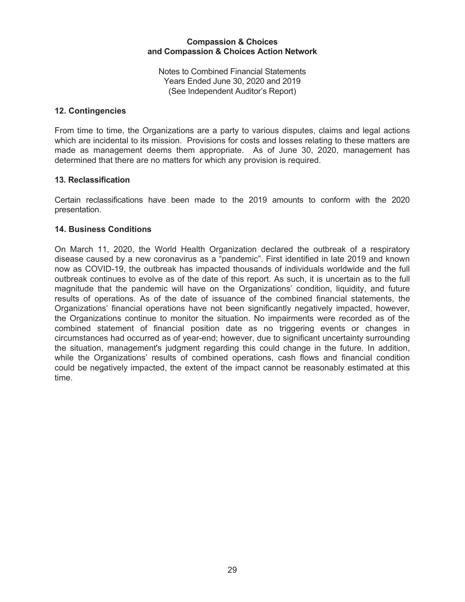Notes to Combined Financial Statements Years Ended June 30, 2020 and 2019 (See Independent Auditor's Report)

### **12. Contingencies**

From time to time, the Organizations are a party to various disputes, claims and legal actions which are incidental to its mission. Provisions for costs and losses relating to these matters are made as management deems them appropriate. As of June 30, 2020, management has determined that there are no matters for which any provision is required.

### **13. Reclassification**

Certain reclassifications have been made to the 2019 amounts to conform with the 2020 presentation.

### **14. Business Conditions**

On March 11, 2020, the World Health Organization declared the outbreak of a respiratory disease caused by a new coronavirus as a "pandemic". First identified in late 2019 and known now as COVID-19, the outbreak has impacted thousands of individuals worldwide and the full outbreak continues to evolve as of the date of this report. As such, it is uncertain as to the full magnitude that the pandemic will have on the Organizations' condition, liquidity, and future results of operations. As of the date of issuance of the combined financial statements, the Organizations' financial operations have not been significantly negatively impacted, however, the Organizations continue to monitor the situation. No impairments were recorded as of the combined statement of financial position date as no triggering events or changes in circumstances had occurred as of year-end; however, due to significant uncertainty surrounding the situation, management's judgment regarding this could change in the future. In addition, while the Organizations' results of combined operations, cash flows and financial condition could be negatively impacted, the extent of the impact cannot be reasonably estimated at this time.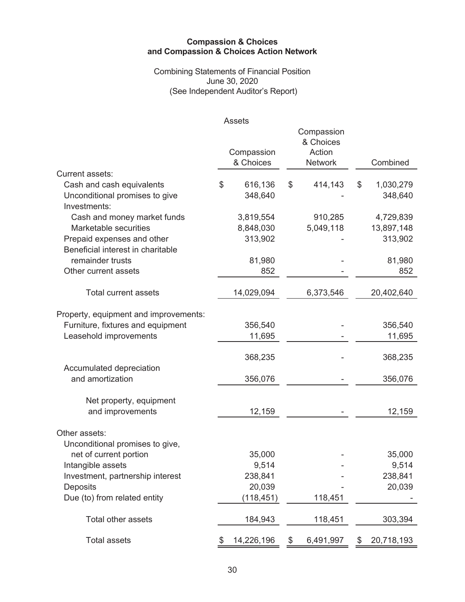Combining Statements of Financial Position June 30, 2020 (See Independent Auditor's Report)

|                                                                             | <b>Assets</b>            |                          |                            |
|-----------------------------------------------------------------------------|--------------------------|--------------------------|----------------------------|
|                                                                             |                          | Compassion<br>& Choices  |                            |
|                                                                             | Compassion<br>& Choices  | Action<br><b>Network</b> | Combined                   |
| Current assets:                                                             |                          |                          |                            |
| Cash and cash equivalents<br>Unconditional promises to give<br>Investments: | \$<br>616,136<br>348,640 | \$<br>414,143            | \$<br>1,030,279<br>348,640 |
| Cash and money market funds                                                 | 3,819,554                | 910,285                  | 4,729,839                  |
| Marketable securities                                                       | 8,848,030                | 5,049,118                | 13,897,148                 |
| Prepaid expenses and other<br>Beneficial interest in charitable             | 313,902                  |                          | 313,902                    |
| remainder trusts                                                            | 81,980                   |                          | 81,980                     |
| Other current assets                                                        | 852                      |                          | 852                        |
| <b>Total current assets</b>                                                 | 14,029,094               | 6,373,546                | 20,402,640                 |
| Property, equipment and improvements:                                       |                          |                          |                            |
| Furniture, fixtures and equipment                                           | 356,540                  |                          | 356,540                    |
| Leasehold improvements                                                      | 11,695                   |                          | 11,695                     |
|                                                                             | 368,235                  |                          | 368,235                    |
| Accumulated depreciation<br>and amortization                                | 356,076                  |                          | 356,076                    |
| Net property, equipment                                                     |                          |                          |                            |
| and improvements                                                            | 12,159                   |                          | 12,159                     |
| Other assets:<br>Unconditional promises to give,                            |                          |                          |                            |
| net of current portion                                                      | 35,000                   |                          | 35,000                     |
| Intangible assets                                                           | 9,514                    |                          | 9,514                      |
| Investment, partnership interest                                            | 238,841                  |                          | 238,841                    |
| Deposits                                                                    | 20,039                   |                          | 20,039                     |
| Due (to) from related entity                                                | (118, 451)               | 118,451                  |                            |
| Total other assets                                                          | 184,943                  | 118,451                  | 303,394                    |
| <b>Total assets</b>                                                         | \$<br>14,226,196         | \$<br>6,491,997          | \$<br>20,718,193           |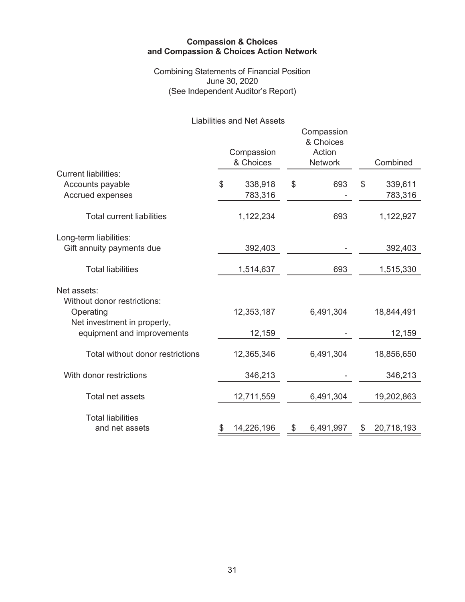Combining Statements of Financial Position June 30, 2020 (See Independent Auditor's Report)

Liabilities and Net Assets

|                                            | Compassion<br>& Choices |     | Compassion<br>& Choices<br>Action<br><b>Network</b> | Combined      |
|--------------------------------------------|-------------------------|-----|-----------------------------------------------------|---------------|
| <b>Current liabilities:</b>                |                         |     |                                                     |               |
| Accounts payable                           | \$<br>338,918           | \$  | 693                                                 | \$<br>339,611 |
| Accrued expenses                           | 783,316                 |     |                                                     | 783,316       |
| <b>Total current liabilities</b>           | 1,122,234               | 693 |                                                     | 1,122,927     |
| Long-term liabilities:                     |                         |     |                                                     |               |
| Gift annuity payments due                  | 392,403                 |     |                                                     | 392,403       |
| <b>Total liabilities</b>                   | 1,514,637               |     | 693                                                 | 1,515,330     |
| Net assets:                                |                         |     |                                                     |               |
| Without donor restrictions:                |                         |     |                                                     |               |
| Operating                                  | 12,353,187              |     | 6,491,304                                           | 18,844,491    |
| Net investment in property,                |                         |     |                                                     |               |
| equipment and improvements                 | 12,159                  |     |                                                     | 12,159        |
| Total without donor restrictions           | 12,365,346              |     | 6,491,304                                           | 18,856,650    |
| With donor restrictions                    | 346,213                 |     |                                                     | 346,213       |
| Total net assets                           | 12,711,559              |     | 6,491,304                                           | 19,202,863    |
| <b>Total liabilities</b><br>and net assets | 14,226,196              | \$  | 6,491,997                                           | 20,718,193    |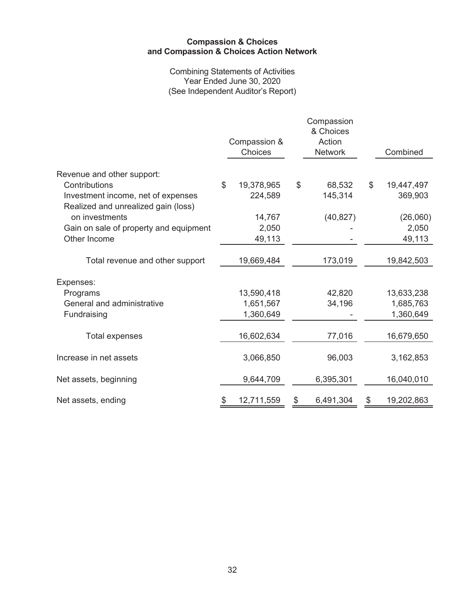Combining Statements of Activities Year Ended June 30, 2020 (See Independent Auditor's Report)

|                                                                           |    | Compassion &<br>Choices |    | Compassion<br>& Choices<br>Action<br><b>Network</b> |    | Combined   |  |
|---------------------------------------------------------------------------|----|-------------------------|----|-----------------------------------------------------|----|------------|--|
| Revenue and other support:                                                |    |                         |    |                                                     |    |            |  |
| Contributions                                                             | \$ | 19,378,965              | \$ | 68,532                                              | \$ | 19,447,497 |  |
| Investment income, net of expenses<br>Realized and unrealized gain (loss) |    | 224,589                 |    | 145,314                                             |    | 369,903    |  |
| on investments                                                            |    | 14,767                  |    | (40, 827)                                           |    | (26,060)   |  |
| Gain on sale of property and equipment                                    |    | 2,050                   |    |                                                     |    | 2,050      |  |
| Other Income                                                              |    | 49,113                  |    |                                                     |    | 49,113     |  |
| Total revenue and other support                                           |    | 19,669,484              |    | 173,019                                             |    | 19,842,503 |  |
| Expenses:                                                                 |    |                         |    |                                                     |    |            |  |
| Programs                                                                  |    | 13,590,418              |    | 42,820                                              |    | 13,633,238 |  |
| General and administrative                                                |    | 1,651,567               |    | 34,196                                              |    | 1,685,763  |  |
| Fundraising                                                               |    | 1,360,649               |    |                                                     |    | 1,360,649  |  |
| <b>Total expenses</b>                                                     |    | 16,602,634              |    | 77,016                                              |    | 16,679,650 |  |
| Increase in net assets                                                    |    | 3,066,850               |    | 96,003                                              |    | 3,162,853  |  |
| Net assets, beginning                                                     |    | 9,644,709               |    | 6,395,301                                           |    | 16,040,010 |  |
| Net assets, ending                                                        | \$ | 12,711,559              | \$ | 6,491,304                                           | \$ | 19,202,863 |  |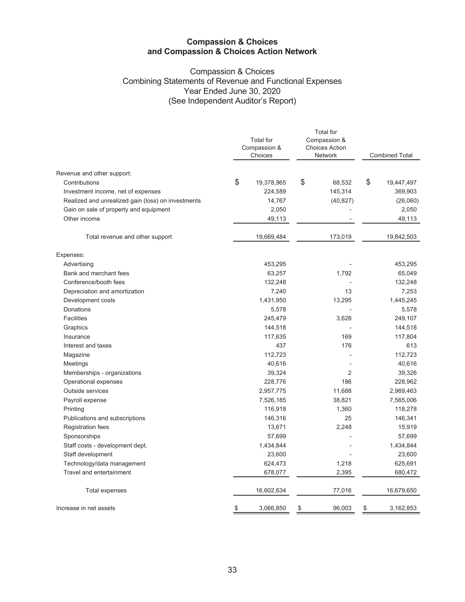### Compassion & Choices Combining Statements of Revenue and Functional Expenses Year Ended June 30, 2020 (See Independent Auditor's Report)

|                                                    | <b>Total</b> for<br>Compassion &<br>Choices | <b>Total</b> for<br>Compassion &<br><b>Choices Action</b><br><b>Network</b> | <b>Combined Total</b> |
|----------------------------------------------------|---------------------------------------------|-----------------------------------------------------------------------------|-----------------------|
| Revenue and other support:                         |                                             |                                                                             |                       |
| Contributions                                      | \$<br>19,378,965                            | \$<br>68,532                                                                | \$<br>19,447,497      |
| Investment income, net of expenses                 | 224,589                                     | 145,314                                                                     | 369,903               |
| Realized and unrealized gain (loss) on investments | 14,767                                      | (40, 827)                                                                   | (26,060)              |
| Gain on sale of property and equipment             | 2,050                                       |                                                                             | 2,050                 |
| Other income                                       | 49,113                                      |                                                                             | 49,113                |
| Total revenue and other support                    | 19,669,484                                  | 173,019                                                                     | 19,842,503            |
| Expenses:                                          |                                             |                                                                             |                       |
| Advertising                                        | 453,295                                     |                                                                             | 453,295               |
| Bank and merchant fees                             | 63,257                                      | 1,792                                                                       | 65,049                |
| Conference/booth fees                              | 132,248                                     |                                                                             | 132,248               |
| Depreciation and amortization                      | 7,240                                       | 13                                                                          | 7,253                 |
| Development costs                                  | 1,431,950                                   | 13,295                                                                      | 1,445,245             |
| Donations                                          | 5,578                                       |                                                                             | 5,578                 |
| <b>Facilities</b>                                  | 245,479                                     | 3,628                                                                       | 249,107               |
| Graphics                                           | 144,518                                     |                                                                             | 144,518               |
| Insurance                                          | 117,635                                     | 169                                                                         | 117,804               |
| Interest and taxes                                 | 437                                         | 176                                                                         | 613                   |
| Magazine                                           | 112,723                                     |                                                                             | 112,723               |
| Meetings                                           | 40,616                                      |                                                                             | 40,616                |
| Memberships - organizations                        | 39,324                                      | $\overline{2}$                                                              | 39,326                |
| Operational expenses                               | 228,776                                     | 186                                                                         | 228,962               |
| Outside services                                   | 2,957,775                                   | 11,688                                                                      | 2,969,463             |
| Payroll expense                                    | 7,526,185                                   | 38,821                                                                      | 7,565,006             |
| Printing                                           | 116,918                                     | 1,360                                                                       | 118,278               |
| Publications and subscriptions                     | 146,316                                     | 25                                                                          | 146,341               |
| <b>Registration fees</b>                           | 13,671                                      | 2,248                                                                       | 15,919                |
| Sponsorships                                       | 57,699                                      |                                                                             | 57,699                |
| Staff costs - development dept.                    | 1,434,844                                   |                                                                             | 1,434,844             |
| Staff development                                  | 23,600                                      |                                                                             | 23,600                |
| Technology/data management                         | 624,473                                     | 1,218                                                                       | 625,691               |
| Travel and entertainment                           | 678,077                                     | 2,395                                                                       | 680,472               |
| Total expenses                                     | 16,602,634                                  | 77,016                                                                      | 16,679,650            |
| Increase in net assets                             | \$<br>3,066,850                             | \$<br>96,003                                                                | \$<br>3,162,853       |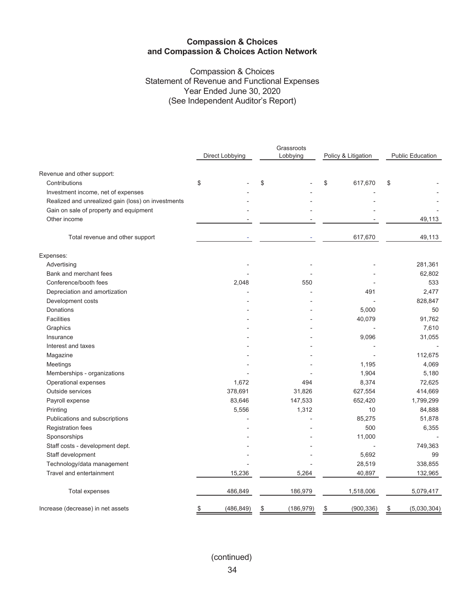### Compassion & Choices Statement of Revenue and Functional Expenses Year Ended June 30, 2020 (See Independent Auditor's Report)

| Direct Lobbying<br>Lobbying<br>Policy & Litigation<br>Revenue and other support:<br>\$<br>Contributions<br>\$<br>\$<br>617,670<br>\$<br>Investment income, net of expenses<br>Realized and unrealized gain (loss) on investments<br>Gain on sale of property and equipment<br>Other income<br>617,670<br>Total revenue and other support<br>Expenses:<br>Advertising<br>Bank and merchant fees<br>Conference/booth fees<br>2,048<br>550<br>Depreciation and amortization<br>491<br>Development costs<br>5,000<br>Donations<br><b>Facilities</b><br>40,079<br>Graphics<br>9,096<br>Insurance<br>Interest and taxes<br>Magazine<br>Meetings<br>1,195<br>Memberships - organizations<br>1,904<br>1,672<br>8,374<br>Operational expenses<br>494<br>378,691<br>31,826<br>627,554<br>Outside services<br>Payroll expense<br>83,646<br>147,533<br>652,420<br>5,556<br>1,312<br>Printing<br>10<br>Publications and subscriptions<br>85,275<br>500<br><b>Registration fees</b><br>Sponsorships<br>11,000<br>Staff costs - development dept. |  | Grassroots |  | <b>Public Education</b> |  |
|------------------------------------------------------------------------------------------------------------------------------------------------------------------------------------------------------------------------------------------------------------------------------------------------------------------------------------------------------------------------------------------------------------------------------------------------------------------------------------------------------------------------------------------------------------------------------------------------------------------------------------------------------------------------------------------------------------------------------------------------------------------------------------------------------------------------------------------------------------------------------------------------------------------------------------------------------------------------------------------------------------------------------------|--|------------|--|-------------------------|--|
|                                                                                                                                                                                                                                                                                                                                                                                                                                                                                                                                                                                                                                                                                                                                                                                                                                                                                                                                                                                                                                    |  |            |  |                         |  |
|                                                                                                                                                                                                                                                                                                                                                                                                                                                                                                                                                                                                                                                                                                                                                                                                                                                                                                                                                                                                                                    |  |            |  |                         |  |
|                                                                                                                                                                                                                                                                                                                                                                                                                                                                                                                                                                                                                                                                                                                                                                                                                                                                                                                                                                                                                                    |  |            |  |                         |  |
|                                                                                                                                                                                                                                                                                                                                                                                                                                                                                                                                                                                                                                                                                                                                                                                                                                                                                                                                                                                                                                    |  |            |  |                         |  |
|                                                                                                                                                                                                                                                                                                                                                                                                                                                                                                                                                                                                                                                                                                                                                                                                                                                                                                                                                                                                                                    |  |            |  |                         |  |
|                                                                                                                                                                                                                                                                                                                                                                                                                                                                                                                                                                                                                                                                                                                                                                                                                                                                                                                                                                                                                                    |  |            |  |                         |  |
|                                                                                                                                                                                                                                                                                                                                                                                                                                                                                                                                                                                                                                                                                                                                                                                                                                                                                                                                                                                                                                    |  |            |  | 49,113                  |  |
|                                                                                                                                                                                                                                                                                                                                                                                                                                                                                                                                                                                                                                                                                                                                                                                                                                                                                                                                                                                                                                    |  |            |  | 49,113                  |  |
|                                                                                                                                                                                                                                                                                                                                                                                                                                                                                                                                                                                                                                                                                                                                                                                                                                                                                                                                                                                                                                    |  |            |  |                         |  |
|                                                                                                                                                                                                                                                                                                                                                                                                                                                                                                                                                                                                                                                                                                                                                                                                                                                                                                                                                                                                                                    |  |            |  | 281,361                 |  |
|                                                                                                                                                                                                                                                                                                                                                                                                                                                                                                                                                                                                                                                                                                                                                                                                                                                                                                                                                                                                                                    |  |            |  | 62,802                  |  |
|                                                                                                                                                                                                                                                                                                                                                                                                                                                                                                                                                                                                                                                                                                                                                                                                                                                                                                                                                                                                                                    |  |            |  | 533                     |  |
|                                                                                                                                                                                                                                                                                                                                                                                                                                                                                                                                                                                                                                                                                                                                                                                                                                                                                                                                                                                                                                    |  |            |  | 2,477                   |  |
|                                                                                                                                                                                                                                                                                                                                                                                                                                                                                                                                                                                                                                                                                                                                                                                                                                                                                                                                                                                                                                    |  |            |  | 828,847                 |  |
|                                                                                                                                                                                                                                                                                                                                                                                                                                                                                                                                                                                                                                                                                                                                                                                                                                                                                                                                                                                                                                    |  |            |  | 50                      |  |
|                                                                                                                                                                                                                                                                                                                                                                                                                                                                                                                                                                                                                                                                                                                                                                                                                                                                                                                                                                                                                                    |  |            |  | 91,762                  |  |
|                                                                                                                                                                                                                                                                                                                                                                                                                                                                                                                                                                                                                                                                                                                                                                                                                                                                                                                                                                                                                                    |  |            |  | 7,610                   |  |
|                                                                                                                                                                                                                                                                                                                                                                                                                                                                                                                                                                                                                                                                                                                                                                                                                                                                                                                                                                                                                                    |  |            |  | 31,055                  |  |
|                                                                                                                                                                                                                                                                                                                                                                                                                                                                                                                                                                                                                                                                                                                                                                                                                                                                                                                                                                                                                                    |  |            |  |                         |  |
|                                                                                                                                                                                                                                                                                                                                                                                                                                                                                                                                                                                                                                                                                                                                                                                                                                                                                                                                                                                                                                    |  |            |  | 112,675                 |  |
|                                                                                                                                                                                                                                                                                                                                                                                                                                                                                                                                                                                                                                                                                                                                                                                                                                                                                                                                                                                                                                    |  |            |  | 4,069                   |  |
|                                                                                                                                                                                                                                                                                                                                                                                                                                                                                                                                                                                                                                                                                                                                                                                                                                                                                                                                                                                                                                    |  |            |  | 5,180                   |  |
|                                                                                                                                                                                                                                                                                                                                                                                                                                                                                                                                                                                                                                                                                                                                                                                                                                                                                                                                                                                                                                    |  |            |  | 72,625                  |  |
|                                                                                                                                                                                                                                                                                                                                                                                                                                                                                                                                                                                                                                                                                                                                                                                                                                                                                                                                                                                                                                    |  |            |  | 414,669                 |  |
|                                                                                                                                                                                                                                                                                                                                                                                                                                                                                                                                                                                                                                                                                                                                                                                                                                                                                                                                                                                                                                    |  |            |  | 1,799,299               |  |
|                                                                                                                                                                                                                                                                                                                                                                                                                                                                                                                                                                                                                                                                                                                                                                                                                                                                                                                                                                                                                                    |  |            |  | 84,888                  |  |
|                                                                                                                                                                                                                                                                                                                                                                                                                                                                                                                                                                                                                                                                                                                                                                                                                                                                                                                                                                                                                                    |  |            |  | 51,878                  |  |
|                                                                                                                                                                                                                                                                                                                                                                                                                                                                                                                                                                                                                                                                                                                                                                                                                                                                                                                                                                                                                                    |  |            |  | 6,355                   |  |
|                                                                                                                                                                                                                                                                                                                                                                                                                                                                                                                                                                                                                                                                                                                                                                                                                                                                                                                                                                                                                                    |  |            |  |                         |  |
|                                                                                                                                                                                                                                                                                                                                                                                                                                                                                                                                                                                                                                                                                                                                                                                                                                                                                                                                                                                                                                    |  |            |  | 749,363                 |  |
| Staff development<br>5,692                                                                                                                                                                                                                                                                                                                                                                                                                                                                                                                                                                                                                                                                                                                                                                                                                                                                                                                                                                                                         |  |            |  | 99                      |  |
| Technology/data management<br>28,519                                                                                                                                                                                                                                                                                                                                                                                                                                                                                                                                                                                                                                                                                                                                                                                                                                                                                                                                                                                               |  |            |  | 338,855                 |  |
| Travel and entertainment<br>15,236<br>5,264<br>40,897                                                                                                                                                                                                                                                                                                                                                                                                                                                                                                                                                                                                                                                                                                                                                                                                                                                                                                                                                                              |  |            |  | 132,965                 |  |
| 486,849<br>186,979<br>1,518,006<br><b>Total expenses</b>                                                                                                                                                                                                                                                                                                                                                                                                                                                                                                                                                                                                                                                                                                                                                                                                                                                                                                                                                                           |  |            |  | 5,079,417               |  |
| (486, 849)<br>Increase (decrease) in net assets<br>(186, 979)<br>(900, 336)<br>\$<br>\$<br>\$<br>\$                                                                                                                                                                                                                                                                                                                                                                                                                                                                                                                                                                                                                                                                                                                                                                                                                                                                                                                                |  |            |  | (5,030,304)             |  |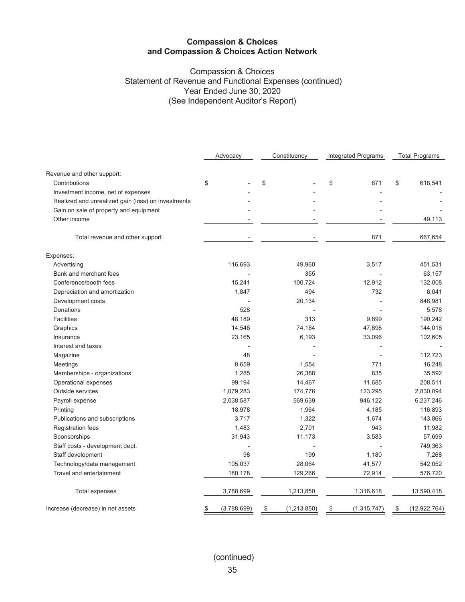### Compassion & Choices Statement of Revenue and Functional Expenses (continued) Year Ended June 30, 2020 (See Independent Auditor's Report)

|                                                    | Advocacy          | Constituency      | Integrated Programs | <b>Total Programs</b> |  |
|----------------------------------------------------|-------------------|-------------------|---------------------|-----------------------|--|
| Revenue and other support:                         |                   |                   |                     |                       |  |
| Contributions                                      | \$                | \$                | \$<br>871           | \$<br>618,541         |  |
| Investment income, net of expenses                 |                   |                   |                     |                       |  |
| Realized and unrealized gain (loss) on investments |                   |                   |                     |                       |  |
| Gain on sale of property and equipment             |                   |                   |                     |                       |  |
| Other income                                       |                   |                   |                     | 49,113                |  |
| Total revenue and other support                    |                   |                   | 871                 | 667,654               |  |
| Expenses:                                          |                   |                   |                     |                       |  |
| Advertising                                        | 116,693           | 49,960            | 3,517               | 451,531               |  |
| Bank and merchant fees                             |                   | 355               |                     | 63,157                |  |
| Conference/booth fees                              | 15,241            | 100,724           | 12,912              | 132,008               |  |
| Depreciation and amortization                      | 1,847             | 494               | 732                 | 6,041                 |  |
| Development costs                                  |                   | 20,134            |                     | 848,981               |  |
| <b>Donations</b>                                   | 528               |                   |                     | 5,578                 |  |
| <b>Facilities</b>                                  | 48,189            | 313               | 9,899               | 190,242               |  |
| Graphics                                           | 14,546            | 74,164            | 47,698              | 144,018               |  |
| Insurance                                          | 23,165            | 6,193             | 33,096              | 102,605               |  |
| Interest and taxes                                 |                   |                   |                     |                       |  |
| Magazine                                           | 48                |                   |                     | 112,723               |  |
| Meetings                                           | 8,659             | 1,554             | 771                 | 16,248                |  |
| Memberships - organizations                        | 1,285             | 26,388            | 835                 | 35,592                |  |
| Operational expenses                               | 99,194            | 14,467            | 11,685              | 208,511               |  |
| <b>Outside services</b>                            | 1,079,283         | 174,776           | 123,295             | 2,830,094             |  |
| Payroll expense                                    | 2,038,587         | 569,639           | 946,122             | 6,237,246             |  |
| Printing                                           | 18,978            | 1,964             | 4,185               | 116,893               |  |
| Publications and subscriptions                     | 3,717             | 1,322             | 1,674               | 143,866               |  |
| Registration fees                                  | 1,483             | 2,701             | 943                 | 11,982                |  |
| Sponsorships                                       | 31,943            | 11,173            | 3,583               | 57,699                |  |
| Staff costs - development dept.                    |                   |                   |                     | 749,363               |  |
| Staff development                                  | 98                | 199               | 1,180               | 7,268                 |  |
| Technology/data management                         | 105,037           | 28,064            | 41,577              | 542,052               |  |
| Travel and entertainment                           | 180,178           | 129,266           | 72,914              | 576,720               |  |
| <b>Total expenses</b>                              | 3,788,699         | 1,213,850         | 1,316,618           | 13,590,418            |  |
| Increase (decrease) in net assets                  | (3,788,699)<br>\$ | (1,213,850)<br>\$ | (1, 315, 747)<br>\$ | (12, 922, 764)<br>\$  |  |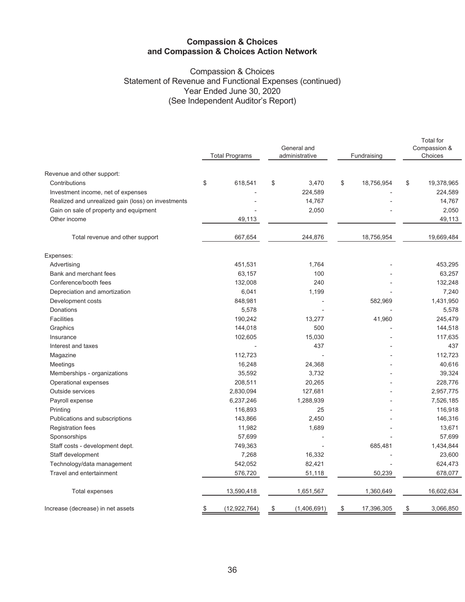### Compassion & Choices Statement of Revenue and Functional Expenses (continued) Year Ended June 30, 2020 (See Independent Auditor's Report)

|                                                    | <b>Total Programs</b> | General and<br>administrative | Fundraising      | <b>Total for</b><br>Compassion &<br>Choices |
|----------------------------------------------------|-----------------------|-------------------------------|------------------|---------------------------------------------|
| Revenue and other support:                         |                       |                               |                  |                                             |
| Contributions                                      | \$<br>618,541         | \$<br>3,470                   | \$<br>18,756,954 | \$<br>19,378,965                            |
| Investment income, net of expenses                 |                       | 224,589                       |                  | 224,589                                     |
| Realized and unrealized gain (loss) on investments |                       | 14,767                        |                  | 14,767                                      |
| Gain on sale of property and equipment             |                       | 2,050                         |                  | 2,050                                       |
| Other income                                       | 49,113                |                               |                  | 49,113                                      |
| Total revenue and other support                    | 667,654               | 244,876                       | 18,756,954       | 19,669,484                                  |
| Expenses:                                          |                       |                               |                  |                                             |
| Advertising                                        | 451,531               | 1,764                         |                  | 453,295                                     |
| Bank and merchant fees                             | 63,157                | 100                           |                  | 63,257                                      |
| Conference/booth fees                              | 132,008               | 240                           |                  | 132,248                                     |
| Depreciation and amortization                      | 6,041                 | 1,199                         |                  | 7,240                                       |
| Development costs                                  | 848,981               |                               | 582,969          | 1,431,950                                   |
| <b>Donations</b>                                   | 5,578                 |                               |                  | 5,578                                       |
| <b>Facilities</b>                                  | 190,242               | 13,277                        | 41,960           | 245,479                                     |
| Graphics                                           | 144,018               | 500                           |                  | 144,518                                     |
| Insurance                                          | 102,605               | 15,030                        |                  | 117,635                                     |
| Interest and taxes                                 |                       | 437                           |                  | 437                                         |
| Magazine                                           | 112,723               |                               |                  | 112,723                                     |
| Meetings                                           | 16,248                | 24,368                        |                  | 40,616                                      |
| Memberships - organizations                        | 35,592                | 3,732                         |                  | 39,324                                      |
| Operational expenses                               | 208,511               | 20,265                        |                  | 228,776                                     |
| Outside services                                   | 2,830,094             | 127,681                       |                  | 2,957,775                                   |
| Payroll expense                                    | 6,237,246             | 1,288,939                     |                  | 7,526,185                                   |
| Printing                                           | 116,893               | 25                            |                  | 116,918                                     |
| Publications and subscriptions                     | 143,866               | 2,450                         |                  | 146,316                                     |
| <b>Registration fees</b>                           | 11,982                | 1,689                         |                  | 13,671                                      |
| Sponsorships                                       | 57,699                |                               |                  | 57,699                                      |
| Staff costs - development dept.                    | 749,363               |                               | 685,481          | 1,434,844                                   |
| Staff development                                  | 7,268                 | 16,332                        |                  | 23,600                                      |
| Technology/data management                         | 542,052               | 82,421                        |                  | 624,473                                     |
| Travel and entertainment                           | 576,720               | 51,118                        | 50,239           | 678,077                                     |
| Total expenses                                     | 13,590,418            | 1,651,567                     | 1,360,649        | 16,602,634                                  |
| Increase (decrease) in net assets                  | (12, 922, 764)<br>\$  | \$<br>(1,406,691)             | \$<br>17,396,305 | \$<br>3,066,850                             |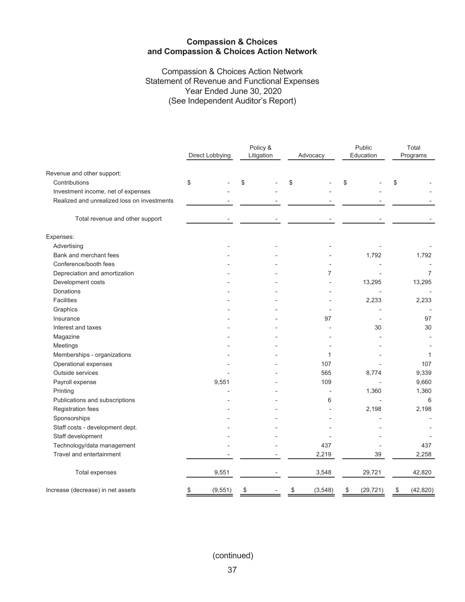Compassion & Choices Action Network Statement of Revenue and Functional Expenses Year Ended June 30, 2020 (See Independent Auditor's Report)

|                                             | Direct Lobbying | Policy &<br>Litigation | Advocacy       | Public<br>Education | Total<br>Programs |  |
|---------------------------------------------|-----------------|------------------------|----------------|---------------------|-------------------|--|
| Revenue and other support:                  |                 |                        |                |                     |                   |  |
| Contributions                               | \$              | \$                     | \$             | \$                  | \$                |  |
| Investment income, net of expenses          |                 |                        |                |                     |                   |  |
| Realized and unrealized loss on investments |                 |                        |                |                     |                   |  |
| Total revenue and other support             |                 |                        |                |                     |                   |  |
| Expenses:                                   |                 |                        |                |                     |                   |  |
| Advertising                                 |                 |                        |                |                     |                   |  |
| Bank and merchant fees                      |                 |                        |                | 1,792               | 1,792             |  |
| Conference/booth fees                       |                 |                        |                |                     |                   |  |
| Depreciation and amortization               |                 |                        | 7              |                     | $\overline{7}$    |  |
| Development costs                           |                 |                        |                | 13,295              | 13,295            |  |
| Donations                                   |                 |                        |                |                     |                   |  |
| <b>Facilities</b>                           |                 |                        |                | 2,233               | 2,233             |  |
| Graphics                                    |                 |                        |                |                     |                   |  |
| Insurance                                   |                 |                        | 97             |                     | 97                |  |
| Interest and taxes                          |                 |                        |                | 30                  | 30                |  |
| Magazine                                    |                 |                        |                |                     |                   |  |
| Meetings                                    |                 |                        |                |                     |                   |  |
| Memberships - organizations                 |                 |                        | 1              |                     | $\mathbf{1}$      |  |
| Operational expenses                        |                 |                        | 107            |                     | 107               |  |
| Outside services                            |                 |                        | 565            | 8,774               | 9,339             |  |
| Payroll expense                             | 9,551           |                        | 109            |                     | 9,660             |  |
| Printing                                    |                 |                        |                | 1,360               | 1,360             |  |
| Publications and subscriptions              |                 |                        | 6              |                     | 6                 |  |
| Registration fees                           |                 |                        |                | 2,198               | 2,198             |  |
| Sponsorships                                |                 |                        |                |                     |                   |  |
| Staff costs - development dept.             |                 |                        |                |                     |                   |  |
| Staff development                           |                 |                        |                |                     |                   |  |
| Technology/data management                  |                 |                        | 437            |                     | 437               |  |
| Travel and entertainment                    |                 |                        | 2,219          | 39                  | 2,258             |  |
| <b>Total expenses</b>                       | 9,551           |                        | 3,548          | 29,721              | 42,820            |  |
| Increase (decrease) in net assets           | \$<br>(9, 551)  | \$                     | (3, 548)<br>\$ | \$<br>(29, 721)     | (42, 820)<br>\$   |  |